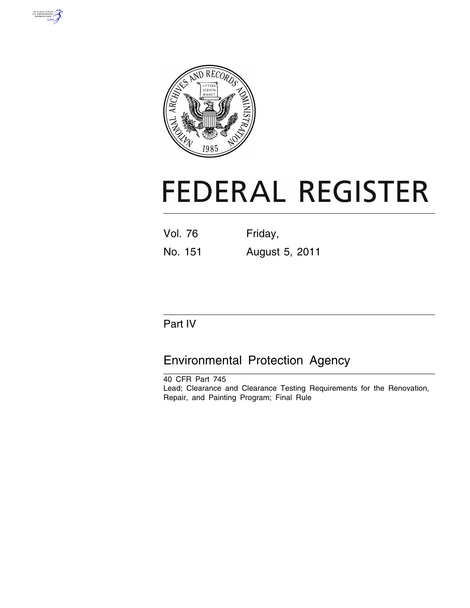



# **FEDERAL REGISTER**

| Vol. 76 | Friday, |
|---------|---------|
|         |         |

No. 151 August 5, 2011

# Part IV

# Environmental Protection Agency

40 CFR Part 745 Lead; Clearance and Clearance Testing Requirements for the Renovation, Repair, and Painting Program; Final Rule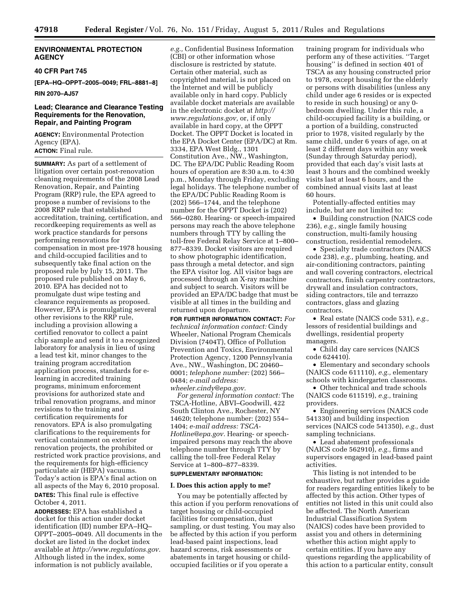# **ENVIRONMENTAL PROTECTION AGENCY**

#### **40 CFR Part 745**

**[EPA–HQ–OPPT–2005–0049; FRL–8881–8]** 

**RIN 2070–AJ57** 

# **Lead; Clearance and Clearance Testing Requirements for the Renovation, Repair, and Painting Program**

**AGENCY:** Environmental Protection Agency (EPA). **ACTION:** Final rule.

**SUMMARY:** As part of a settlement of litigation over certain post-renovation cleaning requirements of the 2008 Lead Renovation, Repair, and Painting Program (RRP) rule, the EPA agreed to propose a number of revisions to the 2008 RRP rule that established accreditation, training, certification, and recordkeeping requirements as well as work practice standards for persons performing renovations for compensation in most pre-1978 housing and child-occupied facilities and to subsequently take final action on the proposed rule by July 15, 2011. The proposed rule published on May 6, 2010. EPA has decided not to promulgate dust wipe testing and clearance requirements as proposed. However, EPA is promulgating several other revisions to the RRP rule, including a provision allowing a certified renovator to collect a paint chip sample and send it to a recognized laboratory for analysis in lieu of using a lead test kit, minor changes to the training program accreditation application process, standards for elearning in accredited training programs, minimum enforcement provisions for authorized state and tribal renovation programs, and minor revisions to the training and certification requirements for renovators. EPA is also promulgating clarifications to the requirements for vertical containment on exterior renovation projects, the prohibited or restricted work practice provisions, and the requirements for high-efficiency particulate air (HEPA) vacuums. Today's action is EPA's final action on all aspects of the May 6, 2010 proposal. **DATES:** This final rule is effective October 4, 2011.

**ADDRESSES:** EPA has established a docket for this action under docket identification (ID) number EPA–HQ– OPPT–2005–0049. All documents in the docket are listed in the docket index available at *[http://www.regulations.gov.](http://www.regulations.gov)*  Although listed in the index, some information is not publicly available,

*e.g.,* Confidential Business Information (CBI) or other information whose disclosure is restricted by statute. Certain other material, such as copyrighted material, is not placed on the Internet and will be publicly available only in hard copy. Publicly available docket materials are available in the electronic docket at *[http://](http://www.regulations.gov) [www.regulations.gov,](http://www.regulations.gov)* or, if only available in hard copy, at the OPPT Docket. The OPPT Docket is located in the EPA Docket Center (EPA/DC) at Rm. 3334, EPA West Bldg., 1301 Constitution Ave., NW., Washington, DC. The EPA/DC Public Reading Room hours of operation are 8:30 a.m. to 4:30 p.m., Monday through Friday, excluding legal holidays. The telephone number of the EPA/DC Public Reading Room is (202) 566–1744, and the telephone number for the OPPT Docket is (202) 566–0280. Hearing- or speech-impaired persons may reach the above telephone numbers through TTY by calling the toll-free Federal Relay Service at 1–800– 877–8339. Docket visitors are required to show photographic identification, pass through a metal detector, and sign the EPA visitor log. All visitor bags are processed through an X-ray machine and subject to search. Visitors will be provided an EPA/DC badge that must be visible at all times in the building and returned upon departure.

**FOR FURTHER INFORMATION CONTACT:** *For technical information contact:* Cindy Wheeler, National Program Chemicals Division (7404T), Office of Pollution Prevention and Toxics, Environmental Protection Agency, 1200 Pennsylvania Ave., NW., Washington, DC 20460– 0001; *telephone number:* (202) 566– 0484; *e-mail address: [wheeler.cindy@epa.gov.](mailto:wheeler.cindy@epa.gov)* 

*For general information contact:* The TSCA-Hotline, ABVI–Goodwill, 422 South Clinton Ave., Rochester, NY 14620; telephone number: (202) 554– 1404; *e-mail address: [TSCA-](mailto:TSCA-Hotline@epa.gov)[Hotline@epa.gov.](mailto:TSCA-Hotline@epa.gov)* Hearing- or speechimpaired persons may reach the above telephone number through TTY by calling the toll-free Federal Relay Service at 1–800–877–8339.

# **SUPPLEMENTARY INFORMATION:**

#### **I. Does this action apply to me?**

You may be potentially affected by this action if you perform renovations of target housing or child-occupied facilities for compensation, dust sampling, or dust testing. You may also be affected by this action if you perform lead-based paint inspections, lead hazard screens, risk assessments or abatements in target housing or childoccupied facilities or if you operate a

training program for individuals who perform any of these activities. ''Target housing'' is defined in section 401 of TSCA as any housing constructed prior to 1978, except housing for the elderly or persons with disabilities (unless any child under age 6 resides or is expected to reside in such housing) or any 0 bedroom dwelling. Under this rule, a child-occupied facility is a building, or a portion of a building, constructed prior to 1978, visited regularly by the same child, under 6 years of age, on at least 2 different days within any week (Sunday through Saturday period), provided that each day's visit lasts at least 3 hours and the combined weekly visits last at least 6 hours, and the combined annual visits last at least 60 hours.

Potentially-affected entities may include, but are not limited to:

• Building construction (NAICS code 236), *e.g.,* single family housing construction, multi-family housing construction, residential remodelers.

• Specialty trade contractors (NAICS code 238), *e.g.,* plumbing, heating, and air-conditioning contractors, painting and wall covering contractors, electrical contractors, finish carpentry contractors, drywall and insulation contractors, siding contractors, tile and terrazzo contractors, glass and glazing contractors.

• Real estate (NAICS code 531), *e.g.,*  lessors of residential buildings and dwellings, residential property managers.

• Child day care services (NAICS code 624410).

• Elementary and secondary schools (NAICS code 611110), *e.g.,* elementary schools with kindergarten classrooms.

• Other technical and trade schools (NAICS code 611519), *e.g.,* training providers.

• Engineering services (NAICS code 541330) and building inspection services (NAICS code 541350), *e.g.,* dust sampling technicians.

• Lead abatement professionals (NAICS code 562910), *e.g.,* firms and supervisors engaged in lead-based paint activities.

This listing is not intended to be exhaustive, but rather provides a guide for readers regarding entities likely to be affected by this action. Other types of entities not listed in this unit could also be affected. The North American Industrial Classification System (NAICS) codes have been provided to assist you and others in determining whether this action might apply to certain entities. If you have any questions regarding the applicability of this action to a particular entity, consult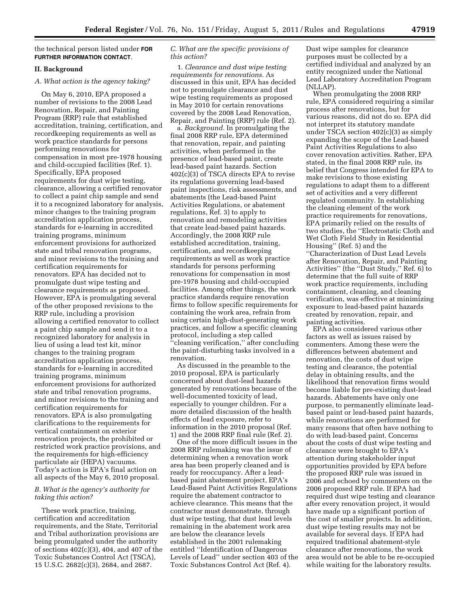the technical person listed under **FOR FURTHER INFORMATION CONTACT**.

# **II. Background**

#### *A. What action is the agency taking?*

On May 6, 2010, EPA proposed a number of revisions to the 2008 Lead Renovation, Repair, and Painting Program (RRP) rule that established accreditation, training, certification, and recordkeeping requirements as well as work practice standards for persons performing renovations for compensation in most pre-1978 housing and child-occupied facilities (Ref. 1). Specifically, EPA proposed requirements for dust wipe testing, clearance, allowing a certified renovator to collect a paint chip sample and send it to a recognized laboratory for analysis, minor changes to the training program accreditation application process, standards for e-learning in accredited training programs, minimum enforcement provisions for authorized state and tribal renovation programs, and minor revisions to the training and certification requirements for renovators. EPA has decided not to promulgate dust wipe testing and clearance requirements as proposed. However, EPA is promulgating several of the other proposed revisions to the RRP rule, including a provision allowing a certified renovator to collect a paint chip sample and send it to a recognized laboratory for analysis in lieu of using a lead test kit, minor changes to the training program accreditation application process, standards for e-learning in accredited training programs, minimum enforcement provisions for authorized state and tribal renovation programs, and minor revisions to the training and certification requirements for renovators. EPA is also promulgating clarifications to the requirements for vertical containment on exterior renovation projects, the prohibited or restricted work practice provisions, and the requirements for high-efficiency particulate air (HEPA) vacuums. Today's action is EPA's final action on all aspects of the May 6, 2010 proposal.

# *B. What is the agency's authority for taking this action?*

These work practice, training, certification and accreditation requirements, and the State, Territorial and Tribal authorization provisions are being promulgated under the authority of sections 402(c)(3), 404, and 407 of the Toxic Substances Control Act (TSCA), 15 U.S.C. 2682(c)(3), 2684, and 2687.

# *C. What are the specific provisions of this action?*

1. *Clearance and dust wipe testing requirements for renovations.* As discussed in this unit, EPA has decided not to promulgate clearance and dust wipe testing requirements as proposed in May 2010 for certain renovations covered by the 2008 Lead Renovation, Repair, and Painting (RRP) rule (Ref. 2).

a. *Background.* In promulgating the final 2008 RRP rule, EPA determined that renovation, repair, and painting activities, when performed in the presence of lead-based paint, create lead-based paint hazards. Section 402(c)(3) of TSCA directs EPA to revise its regulations governing lead-based paint inspections, risk assessments, and abatements (the Lead-based Paint Activities Regulations, or abatement regulations, Ref. 3) to apply to renovation and remodeling activities that create lead-based paint hazards. Accordingly, the 2008 RRP rule established accreditation, training, certification, and recordkeeping requirements as well as work practice standards for persons performing renovations for compensation in most pre-1978 housing and child-occupied facilities. Among other things, the work practice standards require renovation firms to follow specific requirements for containing the work area, refrain from using certain high-dust-generating work practices, and follow a specific cleaning protocol, including a step called ''cleaning verification,'' after concluding the paint-disturbing tasks involved in a renovation.

As discussed in the preamble to the 2010 proposal, EPA is particularly concerned about dust-lead hazards generated by renovations because of the well-documented toxicity of lead, especially to younger children. For a more detailed discussion of the health effects of lead exposure, refer to information in the 2010 proposal (Ref. 1) and the 2008 RRP final rule (Ref. 2).

One of the more difficult issues in the 2008 RRP rulemaking was the issue of determining when a renovation work area has been properly cleaned and is ready for reoccupancy. After a leadbased paint abatement project, EPA's Lead-Based Paint Activities Regulations require the abatement contractor to achieve clearance. This means that the contractor must demonstrate, through dust wipe testing, that dust lead levels remaining in the abatement work area are below the clearance levels established in the 2001 rulemaking entitled ''Identification of Dangerous Levels of Lead'' under section 403 of the Toxic Substances Control Act (Ref. 4).

Dust wipe samples for clearance purposes must be collected by a certified individual and analyzed by an entity recognized under the National Lead Laboratory Accreditation Program (NLLAP).

When promulgating the 2008 RRP rule, EPA considered requiring a similar process after renovations, but for various reasons, did not do so. EPA did not interpret its statutory mandate under TSCA section 402(c)(3) as simply expanding the scope of the Lead-based Paint Activities Regulations to also cover renovation activities. Rather, EPA stated, in the final 2008 RRP rule, its belief that Congress intended for EPA to make revisions to those existing regulations to adapt them to a different set of activities and a very different regulated community. In establishing the cleaning element of the work practice requirements for renovations, EPA primarily relied on the results of two studies, the ''Electrostatic Cloth and Wet Cloth Field Study in Residential Housing'' (Ref. 5) and the ''Characterization of Dust Lead Levels after Renovation, Repair, and Painting Activities'' (the ''Dust Study,'' Ref. 6) to determine that the full suite of RRP work practice requirements, including containment, cleaning, and cleaning verification, was effective at minimizing exposure to lead-based paint hazards created by renovation, repair, and painting activities.

EPA also considered various other factors as well as issues raised by commenters. Among these were the differences between abatement and renovation, the costs of dust wipe testing and clearance, the potential delay in obtaining results, and the likelihood that renovation firms would become liable for pre-existing dust-lead hazards. Abatements have only one purpose, to permanently eliminate leadbased paint or lead-based paint hazards, while renovations are performed for many reasons that often have nothing to do with lead-based paint. Concerns about the costs of dust wipe testing and clearance were brought to EPA's attention during stakeholder input opportunities provided by EPA before the proposed RRP rule was issued in 2006 and echoed by commenters on the 2006 proposed RRP rule. If EPA had required dust wipe testing and clearance after every renovation project, it would have made up a significant portion of the cost of smaller projects. In addition, dust wipe testing results may not be available for several days. If EPA had required traditional abatement-style clearance after renovations, the work area would not be able to be re-occupied while waiting for the laboratory results.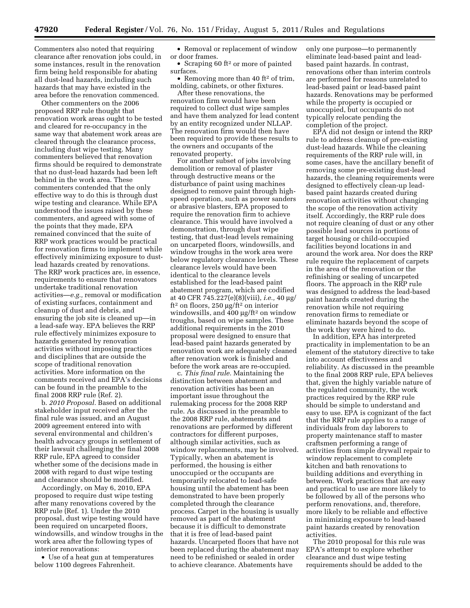Commenters also noted that requiring clearance after renovation jobs could, in some instances, result in the renovation firm being held responsible for abating all dust-lead hazards, including such hazards that may have existed in the area before the renovation commenced.

Other commenters on the 2006 proposed RRP rule thought that renovation work areas ought to be tested and cleared for re-occupancy in the same way that abatement work areas are cleared through the clearance process, including dust wipe testing. Many commenters believed that renovation firms should be required to demonstrate that no dust-lead hazards had been left behind in the work area. These commenters contended that the only effective way to do this is through dust wipe testing and clearance. While EPA understood the issues raised by these commenters, and agreed with some of the points that they made, EPA remained convinced that the suite of RRP work practices would be practical for renovation firms to implement while effectively minimizing exposure to dustlead hazards created by renovations. The RRP work practices are, in essence, requirements to ensure that renovators undertake traditional renovation activities—*e.g.,* removal or modification of existing surfaces, containment and cleanup of dust and debris, and ensuring the job site is cleaned up—in a lead-safe way. EPA believes the RRP rule effectively minimizes exposure to hazards generated by renovation activities without imposing practices and disciplines that are outside the scope of traditional renovation activities. More information on the comments received and EPA's decisions can be found in the preamble to the final 2008 RRP rule (Ref. 2).

b. *2010 Proposal.* Based on additional stakeholder input received after the final rule was issued, and an August 2009 agreement entered into with several environmental and children's health advocacy groups in settlement of their lawsuit challenging the final 2008 RRP rule, EPA agreed to consider whether some of the decisions made in 2008 with regard to dust wipe testing and clearance should be modified.

Accordingly, on May 6, 2010, EPA proposed to require dust wipe testing after many renovations covered by the RRP rule (Ref. 1). Under the 2010 proposal, dust wipe testing would have been required on uncarpeted floors, windowsills, and window troughs in the work area after the following types of interior renovations:

• Use of a heat gun at temperatures below 1100 degrees Fahrenheit.

• Removal or replacement of window or door frames.

• Scraping 60 ft<sup>2</sup> or more of painted surfaces.

• Removing more than 40 ft<sup>2</sup> of trim, molding, cabinets, or other fixtures.

After these renovations, the renovation firm would have been required to collect dust wipe samples and have them analyzed for lead content by an entity recognized under NLLAP. The renovation firm would then have been required to provide these results to the owners and occupants of the renovated property.

For another subset of jobs involving demolition or removal of plaster through destructive means or the disturbance of paint using machines designed to remove paint through highspeed operation, such as power sanders or abrasive blasters, EPA proposed to require the renovation firm to achieve clearance. This would have involved a demonstration, through dust wipe testing, that dust-lead levels remaining on uncarpeted floors, windowsills, and window troughs in the work area were below regulatory clearance levels. These clearance levels would have been identical to the clearance levels established for the lead-based paint abatement program, which are codified at 40 CFR 745.227(e)(8)(viii), *i.e.,* 40 μg/ ft2 on floors, 250 μg/ft2 on interior windowsills, and  $400 \mu g / \text{ft}^2$  on window troughs, based on wipe samples. These additional requirements in the 2010 proposal were designed to ensure that lead-based paint hazards generated by renovation work are adequately cleaned after renovation work is finished and before the work areas are re-occupied.

c. *This final rule.* Maintaining the distinction between abatement and renovation activities has been an important issue throughout the rulemaking process for the 2008 RRP rule. As discussed in the preamble to the 2008 RRP rule, abatements and renovations are performed by different contractors for different purposes, although similar activities, such as window replacements, may be involved. Typically, when an abatement is performed, the housing is either unoccupied or the occupants are temporarily relocated to lead-safe housing until the abatement has been demonstrated to have been properly completed through the clearance process. Carpet in the housing is usually removed as part of the abatement because it is difficult to demonstrate that it is free of lead-based paint hazards. Uncarpeted floors that have not been replaced during the abatement may need to be refinished or sealed in order to achieve clearance. Abatements have

only one purpose—to permanently eliminate lead-based paint and leadbased paint hazards. In contrast, renovations other than interim controls are performed for reasons unrelated to lead-based paint or lead-based paint hazards. Renovations may be performed while the property is occupied or unoccupied, but occupants do not typically relocate pending the completion of the project.

EPA did not design or intend the RRP rule to address cleanup of pre-existing dust-lead hazards. While the cleaning requirements of the RRP rule will, in some cases, have the ancillary benefit of removing some pre-existing dust-lead hazards, the cleaning requirements were designed to effectively clean-up leadbased paint hazards created during renovation activities without changing the scope of the renovation activity itself. Accordingly, the RRP rule does not require cleaning of dust or any other possible lead sources in portions of target housing or child-occupied facilities beyond locations in and around the work area. Nor does the RRP rule require the replacement of carpets in the area of the renovation or the refinishing or sealing of uncarpeted floors. The approach in the RRP rule was designed to address the lead-based paint hazards created during the renovation while not requiring renovation firms to remediate or eliminate hazards beyond the scope of the work they were hired to do.

In addition, EPA has interpreted practicality in implementation to be an element of the statutory directive to take into account effectiveness and reliability. As discussed in the preamble to the final 2008 RRP rule, EPA believes that, given the highly variable nature of the regulated community, the work practices required by the RRP rule should be simple to understand and easy to use. EPA is cognizant of the fact that the RRP rule applies to a range of individuals from day laborers to property maintenance staff to master craftsmen performing a range of activities from simple drywall repair to window replacement to complete kitchen and bath renovations to building additions and everything in between. Work practices that are easy and practical to use are more likely to be followed by all of the persons who perform renovations, and, therefore, more likely to be reliable and effective in minimizing exposure to lead-based paint hazards created by renovation activities.

The 2010 proposal for this rule was EPA's attempt to explore whether clearance and dust wipe testing requirements should be added to the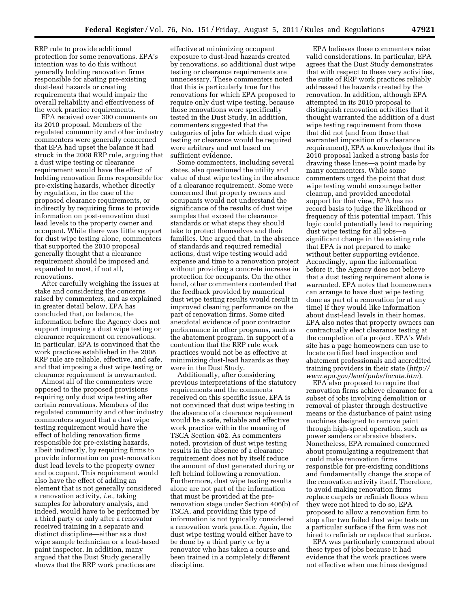RRP rule to provide additional protection for some renovations. EPA's intention was to do this without generally holding renovation firms responsible for abating pre-existing dust-lead hazards or creating requirements that would impair the overall reliability and effectiveness of the work practice requirements.

EPA received over 300 comments on its 2010 proposal. Members of the regulated community and other industry commenters were generally concerned that EPA had upset the balance it had struck in the 2008 RRP rule, arguing that a dust wipe testing or clearance requirement would have the effect of holding renovation firms responsible for pre-existing hazards, whether directly by regulation, in the case of the proposed clearance requirements, or indirectly by requiring firms to provide information on post-renovation dust lead levels to the property owner and occupant. While there was little support for dust wipe testing alone, commenters that supported the 2010 proposal generally thought that a clearance requirement should be imposed and expanded to most, if not all, renovations.

After carefully weighing the issues at stake and considering the concerns raised by commenters, and as explained in greater detail below, EPA has concluded that, on balance, the information before the Agency does not support imposing a dust wipe testing or clearance requirement on renovations. In particular, EPA is convinced that the work practices established in the 2008 RRP rule are reliable, effective, and safe, and that imposing a dust wipe testing or clearance requirement is unwarranted.

Almost all of the commenters were opposed to the proposed provisions requiring only dust wipe testing after certain renovations. Members of the regulated community and other industry commenters argued that a dust wipe testing requirement would have the effect of holding renovation firms responsible for pre-existing hazards, albeit indirectly, by requiring firms to provide information on post-renovation dust lead levels to the property owner and occupant. This requirement would also have the effect of adding an element that is not generally considered a renovation activity, *i.e.,* taking samples for laboratory analysis, and indeed, would have to be performed by a third party or only after a renovator received training in a separate and distinct discipline—either as a dust wipe sample technician or a lead-based paint inspector. In addition, many argued that the Dust Study generally shows that the RRP work practices are

effective at minimizing occupant exposure to dust-lead hazards created by renovations, so additional dust wipe testing or clearance requirements are unnecessary. These commenters noted that this is particularly true for the renovations for which EPA proposed to require only dust wipe testing, because those renovations were specifically tested in the Dust Study. In addition, commenters suggested that the categories of jobs for which dust wipe testing or clearance would be required were arbitrary and not based on sufficient evidence.

Some commenters, including several states, also questioned the utility and value of dust wipe testing in the absence of a clearance requirement. Some were concerned that property owners and occupants would not understand the significance of the results of dust wipe samples that exceed the clearance standards or what steps they should take to protect themselves and their families. One argued that, in the absence of standards and required remedial actions, dust wipe testing would add expense and time to a renovation project without providing a concrete increase in protection for occupants. On the other hand, other commenters contended that the feedback provided by numerical dust wipe testing results would result in improved cleaning performance on the part of renovation firms. Some cited anecdotal evidence of poor contractor performance in other programs, such as the abatement program, in support of a contention that the RRP rule work practices would not be as effective at minimizing dust-lead hazards as they were in the Dust Study.

Additionally, after considering previous interpretations of the statutory requirements and the comments received on this specific issue, EPA is not convinced that dust wipe testing in the absence of a clearance requirement would be a safe, reliable and effective work practice within the meaning of TSCA Section 402. As commenters noted, provision of dust wipe testing results in the absence of a clearance requirement does not by itself reduce the amount of dust generated during or left behind following a renovation. Furthermore, dust wipe testing results alone are not part of the information that must be provided at the prerenovation stage under Section 406(b) of TSCA, and providing this type of information is not typically considered a renovation work practice. Again, the dust wipe testing would either have to be done by a third party or by a renovator who has taken a course and been trained in a completely different discipline.

EPA believes these commenters raise valid considerations. In particular, EPA agrees that the Dust Study demonstrates that with respect to these very activities, the suite of RRP work practices reliably addressed the hazards created by the renovation. In addition, although EPA attempted in its 2010 proposal to distinguish renovation activities that it thought warranted the addition of a dust wipe testing requirement from those that did not (and from those that warranted imposition of a clearance requirement), EPA acknowledges that its 2010 proposal lacked a strong basis for drawing these lines—a point made by many commenters. While some commenters urged the point that dust wipe testing would encourage better cleanup, and provided anecdotal support for that view, EPA has no record basis to judge the likelihood or frequency of this potential impact. This logic could potentially lead to requiring dust wipe testing for all jobs—a significant change in the existing rule that EPA is not prepared to make without better supporting evidence. Accordingly, upon the information before it, the Agency does not believe that a dust testing requirement alone is warranted. EPA notes that homeowners can arrange to have dust wipe testing done as part of a renovation (or at any time) if they would like information about dust-lead levels in their homes. EPA also notes that property owners can contractually elect clearance testing at the completion of a project. EPA's Web site has a page homeowners can use to locate certified lead inspection and abatement professionals and accredited training providers in their state (*[http://](http://www.epa.gov/lead/pubs/locate.htm)  [www.epa.gov/lead/pubs/locate.htm](http://www.epa.gov/lead/pubs/locate.htm)*).

EPA also proposed to require that renovation firms achieve clearance for a subset of jobs involving demolition or removal of plaster through destructive means or the disturbance of paint using machines designed to remove paint through high-speed operation, such as power sanders or abrasive blasters. Nonetheless, EPA remained concerned about promulgating a requirement that could make renovation firms responsible for pre-existing conditions and fundamentally change the scope of the renovation activity itself. Therefore, to avoid making renovation firms replace carpets or refinish floors when they were not hired to do so, EPA proposed to allow a renovation firm to stop after two failed dust wipe tests on a particular surface if the firm was not hired to refinish or replace that surface.

EPA was particularly concerned about these types of jobs because it had evidence that the work practices were not effective when machines designed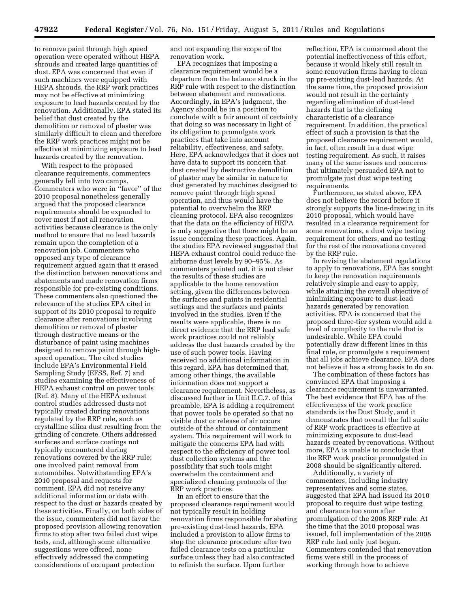to remove paint through high speed operation were operated without HEPA shrouds and created large quantities of dust. EPA was concerned that even if such machines were equipped with HEPA shrouds, the RRP work practices may not be effective at minimizing exposure to lead hazards created by the renovation. Additionally, EPA stated its belief that dust created by the demolition or removal of plaster was similarly difficult to clean and therefore the RRP work practices might not be effective at minimizing exposure to lead hazards created by the renovation.

With respect to the proposed clearance requirements, commenters generally fell into two camps. Commenters who were in ''favor'' of the 2010 proposal nonetheless generally argued that the proposed clearance requirements should be expanded to cover most if not all renovation activities because clearance is the only method to ensure that no lead hazards remain upon the completion of a renovation job. Commenters who opposed any type of clearance requirement argued again that it erased the distinction between renovations and abatements and made renovation firms responsible for pre-existing conditions. These commenters also questioned the relevance of the studies EPA cited in support of its 2010 proposal to require clearance after renovations involving demolition or removal of plaster through destructive means or the disturbance of paint using machines designed to remove paint through highspeed operation. The cited studies include EPA's Environmental Field Sampling Study (EFSS, Ref. 7) and studies examining the effectiveness of HEPA exhaust control on power tools (Ref. 8). Many of the HEPA exhaust control studies addressed dusts not typically created during renovations regulated by the RRP rule, such as crystalline silica dust resulting from the grinding of concrete. Others addressed surfaces and surface coatings not typically encountered during renovations covered by the RRP rule; one involved paint removal from automobiles. Notwithstanding EPA's 2010 proposal and requests for comment, EPA did not receive any additional information or data with respect to the dust or hazards created by these activities. Finally, on both sides of the issue, commenters did not favor the proposed provision allowing renovation firms to stop after two failed dust wipe tests, and, although some alternative suggestions were offered, none effectively addressed the competing considerations of occupant protection

and not expanding the scope of the renovation work.

EPA recognizes that imposing a clearance requirement would be a departure from the balance struck in the RRP rule with respect to the distinction between abatement and renovations. Accordingly, in EPA's judgment, the Agency should be in a position to conclude with a fair amount of certainty that doing so was necessary in light of its obligation to promulgate work practices that take into account reliability, effectiveness, and safety. Here, EPA acknowledges that it does not have data to support its concern that dust created by destructive demolition of plaster may be similar in nature to dust generated by machines designed to remove paint through high speed operation, and thus would have the potential to overwhelm the RRP cleaning protocol. EPA also recognizes that the data on the efficiency of HEPA is only suggestive that there might be an issue concerning these practices. Again, the studies EPA reviewed suggested that HEPA exhaust control could reduce the airborne dust levels by 90–95%. As commenters pointed out, it is not clear the results of these studies are applicable to the home renovation setting, given the differences between the surfaces and paints in residential settings and the surfaces and paints involved in the studies. Even if the results were applicable, there is no direct evidence that the RRP lead safe work practices could not reliably address the dust hazards created by the use of such power tools. Having received no additional information in this regard, EPA has determined that, among other things, the available information does not support a clearance requirement. Nevertheless, as discussed further in Unit II.C.7. of this preamble, EPA is adding a requirement that power tools be operated so that no visible dust or release of air occurs outside of the shroud or containment system. This requirement will work to mitigate the concerns EPA had with respect to the efficiency of power tool dust collection systems and the possibility that such tools might overwhelm the containment and specialized cleaning protocols of the RRP work practices.

In an effort to ensure that the proposed clearance requirement would not typically result in holding renovation firms responsible for abating pre-existing dust-lead hazards, EPA included a provision to allow firms to stop the clearance procedure after two failed clearance tests on a particular surface unless they had also contracted to refinish the surface. Upon further

reflection, EPA is concerned about the potential ineffectiveness of this effort, because it would likely still result in some renovation firms having to clean up pre-existing dust-lead hazards. At the same time, the proposed provision would not result in the certainty regarding elimination of dust-lead hazards that is the defining characteristic of a clearance requirement. In addition, the practical effect of such a provision is that the proposed clearance requirement would, in fact, often result in a dust wipe testing requirement. As such, it raises many of the same issues and concerns that ultimately persuaded EPA not to promulgate just dust wipe testing requirements.

Furthermore, as stated above, EPA does not believe the record before it strongly supports the line-drawing in its 2010 proposal, which would have resulted in a clearance requirement for some renovations, a dust wipe testing requirement for others, and no testing for the rest of the renovations covered by the RRP rule.

In revising the abatement regulations to apply to renovations, EPA has sought to keep the renovation requirements relatively simple and easy to apply, while attaining the overall objective of minimizing exposure to dust-lead hazards generated by renovation activities. EPA is concerned that the proposed three-tier system would add a level of complexity to the rule that is undesirable. While EPA could potentially draw different lines in this final rule, or promulgate a requirement that all jobs achieve clearance, EPA does not believe it has a strong basis to do so.

The combination of these factors has convinced EPA that imposing a clearance requirement is unwarranted. The best evidence that EPA has of the effectiveness of the work practice standards is the Dust Study, and it demonstrates that overall the full suite of RRP work practices is effective at minimizing exposure to dust-lead hazards created by renovations. Without more, EPA is unable to conclude that the RRP work practice promulgated in 2008 should be significantly altered.

Additionally, a variety of commenters, including industry representatives and some states, suggested that EPA had issued its 2010 proposal to require dust wipe testing and clearance too soon after promulgation of the 2008 RRP rule. At the time that the 2010 proposal was issued, full implementation of the 2008 RRP rule had only just begun. Commenters contended that renovation firms were still in the process of working through how to achieve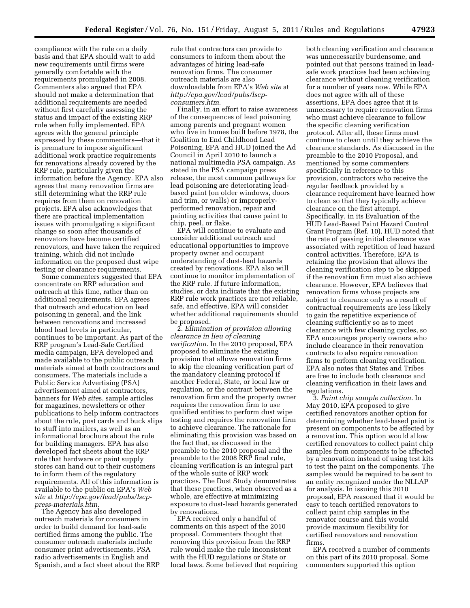compliance with the rule on a daily basis and that EPA should wait to add new requirements until firms were generally comfortable with the requirements promulgated in 2008. Commenters also argued that EPA should not make a determination that additional requirements are needed without first carefully assessing the status and impact of the existing RRP rule when fully implemented. EPA agrees with the general principle expressed by these commenters—that it is premature to impose significant additional work practice requirements for renovations already covered by the RRP rule, particularly given the information before the Agency. EPA also agrees that many renovation firms are still determining what the RRP rule requires from them on renovation projects. EPA also acknowledges that there are practical implementation issues with promulgating a significant change so soon after thousands of renovators have become certified renovators, and have taken the required training, which did not include information on the proposed dust wipe testing or clearance requirements.

Some commenters suggested that EPA concentrate on RRP education and outreach at this time, rather than on additional requirements. EPA agrees that outreach and education on lead poisoning in general, and the link between renovations and increased blood lead levels in particular, continues to be important. As part of the RRP program's Lead-Safe Certified media campaign, EPA developed and made available to the public outreach materials aimed at both contractors and consumers. The materials include a Public Service Advertising (PSA) advertisement aimed at contractors, banners for *Web site*s, sample articles for magazines, newsletters or other publications to help inform contractors about the rule, post cards and buck slips to stuff into mailers, as well as an informational brochure about the rule for building managers. EPA has also developed fact sheets about the RRP rule that hardware or paint supply stores can hand out to their customers to inform them of the regulatory requirements. All of this information is available to the public on EPA's *Web site* at *[http://epa.gov/lead/pubs/lscp](http://epa.gov/lead/pubs/lscp-press-materials.htm)[press-materials.htm.](http://epa.gov/lead/pubs/lscp-press-materials.htm)* 

The Agency has also developed outreach materials for consumers in order to build demand for lead-safe certified firms among the public. The consumer outreach materials include consumer print advertisements, PSA radio advertisements in English and Spanish, and a fact sheet about the RRP rule that contractors can provide to consumers to inform them about the advantages of hiring lead-safe renovation firms. The consumer outreach materials are also downloadable from EPA's *Web site* at *[http://epa.gov/lead/pubs/lscp](http://epa.gov/lead/pubs/lscp-consumers.htm)[consumers.htm.](http://epa.gov/lead/pubs/lscp-consumers.htm)* 

Finally, in an effort to raise awareness of the consequences of lead poisoning among parents and pregnant women who live in homes built before 1978, the Coalition to End Childhood Lead Poisoning, EPA and HUD joined the Ad Council in April 2010 to launch a national multimedia PSA campaign. As stated in the PSA campaign press release, the most common pathways for lead poisoning are deteriorating leadbased paint (on older windows, doors and trim, or walls) or improperlyperformed renovation, repair and painting activities that cause paint to chip, peel, or flake.

EPA will continue to evaluate and consider additional outreach and educational opportunities to improve property owner and occupant understanding of dust-lead hazards created by renovations. EPA also will continue to monitor implementation of the RRP rule. If future information, studies, or data indicate that the existing RRP rule work practices are not reliable, safe, and effective, EPA will consider whether additional requirements should be proposed.

2. *Elimination of provision allowing clearance in lieu of cleaning verification.* In the 2010 proposal, EPA proposed to eliminate the existing provision that allows renovation firms to skip the cleaning verification part of the mandatory cleaning protocol if another Federal, State, or local law or regulation, or the contract between the renovation firm and the property owner requires the renovation firm to use qualified entities to perform dust wipe testing and requires the renovation firm to achieve clearance. The rationale for eliminating this provision was based on the fact that, as discussed in the preamble to the 2010 proposal and the preamble to the 2008 RRP final rule, cleaning verification is an integral part of the whole suite of RRP work practices. The Dust Study demonstrates that these practices, when observed as a whole, are effective at minimizing exposure to dust-lead hazards generated by renovations.

EPA received only a handful of comments on this aspect of the 2010 proposal. Commenters thought that removing this provision from the RRP rule would make the rule inconsistent with the HUD regulations or State or local laws. Some believed that requiring both cleaning verification and clearance was unnecessarily burdensome, and pointed out that persons trained in leadsafe work practices had been achieving clearance without cleaning verification for a number of years now. While EPA does not agree with all of these assertions, EPA does agree that it is unnecessary to require renovation firms who must achieve clearance to follow the specific cleaning verification protocol. After all, these firms must continue to clean until they achieve the clearance standards. As discussed in the preamble to the 2010 Proposal, and mentioned by some commenters specifically in reference to this provision, contractors who receive the regular feedback provided by a clearance requirement have learned how to clean so that they typically achieve clearance on the first attempt. Specifically, in its Evaluation of the HUD Lead-Based Paint Hazard Control Grant Program (Ref. 10), HUD noted that the rate of passing initial clearance was associated with repetition of lead hazard control activities. Therefore, EPA is retaining the provision that allows the cleaning verification step to be skipped if the renovation firm must also achieve clearance. However, EPA believes that renovation firms whose projects are subject to clearance only as a result of contractual requirements are less likely to gain the repetitive experience of cleaning sufficiently so as to meet clearance with few cleaning cycles, so EPA encourages property owners who include clearance in their renovation contracts to also require renovation firms to perform cleaning verification. EPA also notes that States and Tribes are free to include both clearance and cleaning verification in their laws and regulations.

3. *Paint chip sample collection.* In May 2010, EPA proposed to give certified renovators another option for determining whether lead-based paint is present on components to be affected by a renovation. This option would allow certified renovators to collect paint chip samples from components to be affected by a renovation instead of using test kits to test the paint on the components. The samples would be required to be sent to an entity recognized under the NLLAP for analysis. In issuing this 2010 proposal, EPA reasoned that it would be easy to teach certified renovators to collect paint chip samples in the renovator course and this would provide maximum flexibility for certified renovators and renovation firms.

EPA received a number of comments on this part of its 2010 proposal. Some commenters supported this option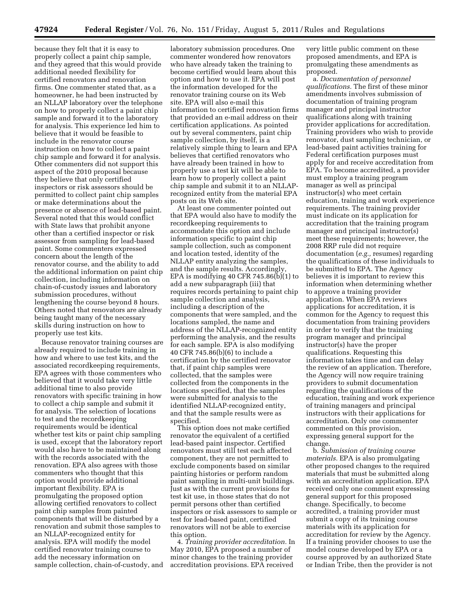because they felt that it is easy to properly collect a paint chip sample, and they agreed that this would provide additional needed flexibility for certified renovators and renovation firms. One commenter stated that, as a homeowner, he had been instructed by an NLLAP laboratory over the telephone on how to properly collect a paint chip sample and forward it to the laboratory for analysis. This experience led him to believe that it would be feasible to include in the renovator course instruction on how to collect a paint chip sample and forward it for analysis. Other commenters did not support this aspect of the 2010 proposal because they believe that only certified inspectors or risk assessors should be permitted to collect paint chip samples or make determinations about the presence or absence of lead-based paint. Several noted that this would conflict with State laws that prohibit anyone other than a certified inspector or risk assessor from sampling for lead-based paint. Some commenters expressed concern about the length of the renovator course, and the ability to add the additional information on paint chip collection, including information on chain-of-custody issues and laboratory submission procedures, without lengthening the course beyond 8 hours. Others noted that renovators are already being taught many of the necessary skills during instruction on how to properly use test kits.

Because renovator training courses are already required to include training in how and where to use test kits, and the associated recordkeeping requirements, EPA agrees with those commenters who believed that it would take very little additional time to also provide renovators with specific training in how to collect a chip sample and submit it for analysis. The selection of locations to test and the recordkeeping requirements would be identical whether test kits or paint chip sampling is used, except that the laboratory report would also have to be maintained along with the records associated with the renovation. EPA also agrees with those commenters who thought that this option would provide additional important flexibility. EPA is promulgating the proposed option allowing certified renovators to collect paint chip samples from painted components that will be disturbed by a renovation and submit those samples to an NLLAP-recognized entity for analysis. EPA will modify the model certified renovator training course to add the necessary information on sample collection, chain-of-custody, and

laboratory submission procedures. One commenter wondered how renovators who have already taken the training to become certified would learn about this option and how to use it. EPA will post the information developed for the renovator training course on its Web site. EPA will also e-mail this information to certified renovation firms that provided an e-mail address on their certification applications. As pointed out by several commenters, paint chip sample collection, by itself, is a relatively simple thing to learn and EPA believes that certified renovators who have already been trained in how to properly use a test kit will be able to learn how to properly collect a paint chip sample and submit it to an NLLAPrecognized entity from the material EPA posts on its Web site.

At least one commenter pointed out that EPA would also have to modify the recordkeeping requirements to accommodate this option and include information specific to paint chip sample collection, such as component and location tested, identity of the NLLAP entity analyzing the samples, and the sample results. Accordingly, EPA is modifying 40 CFR 745.86(b)(1) to add a new subparagraph (iii) that requires records pertaining to paint chip sample collection and analysis, including a description of the components that were sampled, and the locations sampled, the name and address of the NLLAP-recognized entity performing the analysis, and the results for each sample. EPA is also modifying 40 CFR 745.86(b)(6) to include a certification by the certified renovator that, if paint chip samples were collected, that the samples were collected from the components in the locations specified, that the samples were submitted for analysis to the identified NLLAP-recognized entity, and that the sample results were as specified.

This option does not make certified renovator the equivalent of a certified lead-based paint inspector. Certified renovators must still test each affected component, they are not permitted to exclude components based on similar painting histories or perform random paint sampling in multi-unit buildings. Just as with the current provisions for test kit use, in those states that do not permit persons other than certified inspectors or risk assessors to sample or test for lead-based paint, certified renovators will not be able to exercise this option.

4. *Training provider accreditation.* In May 2010, EPA proposed a number of minor changes to the training provider accreditation provisions. EPA received

very little public comment on these proposed amendments, and EPA is promulgating these amendments as proposed.

a. *Documentation of personnel qualifications.* The first of these minor amendments involves submission of documentation of training program manager and principal instructor qualifications along with training provider applications for accreditation. Training providers who wish to provide renovator, dust sampling technician, or lead-based paint activities training for Federal certification purposes must apply for and receive accreditation from EPA. To become accredited, a provider must employ a training program manager as well as principal instructor(s) who meet certain education, training and work experience requirements. The training provider must indicate on its application for accreditation that the training program manager and principal instructor(s) meet these requirements; however, the 2008 RRP rule did not require documentation (*e.g.,* resumes) regarding the qualifications of these individuals to be submitted to EPA. The Agency believes it is important to review this information when determining whether to approve a training provider application. When EPA reviews applications for accreditation, it is common for the Agency to request this documentation from training providers in order to verify that the training program manager and principal instructor(s) have the proper qualifications. Requesting this information takes time and can delay the review of an application. Therefore, the Agency will now require training providers to submit documentation regarding the qualifications of the education, training and work experience of training managers and principal instructors with their applications for accreditation. Only one commenter commented on this provision, expressing general support for the change.

b. *Submission of training course materials.* EPA is also promulgating other proposed changes to the required materials that must be submitted along with an accreditation application. EPA received only one comment expressing general support for this proposed change. Specifically, to become accredited, a training provider must submit a copy of its training course materials with its application for accreditation for review by the Agency. If a training provider chooses to use the model course developed by EPA or a course approved by an authorized State or Indian Tribe, then the provider is not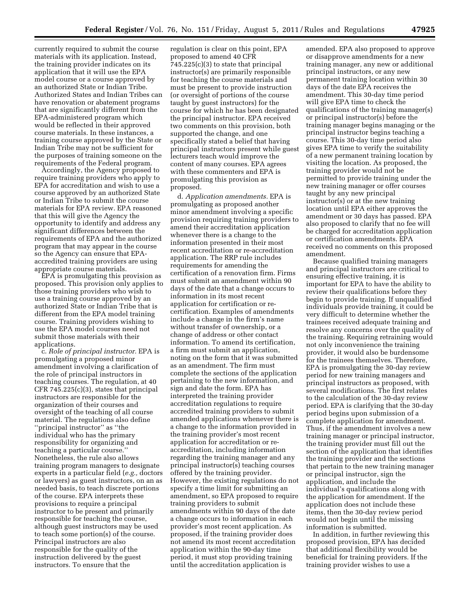currently required to submit the course materials with its application. Instead, the training provider indicates on its application that it will use the EPA model course or a course approved by an authorized State or Indian Tribe. Authorized States and Indian Tribes can have renovation or abatement programs that are significantly different from the EPA-administered program which would be reflected in their approved course materials. In these instances, a training course approved by the State or Indian Tribe may not be sufficient for the purposes of training someone on the requirements of the Federal program.

Accordingly, the Agency proposed to require training providers who apply to EPA for accreditation and wish to use a course approved by an authorized State or Indian Tribe to submit the course materials for EPA review. EPA reasoned that this will give the Agency the opportunity to identify and address any significant differences between the requirements of EPA and the authorized program that may appear in the course so the Agency can ensure that EPAaccredited training providers are using appropriate course materials.

EPA is promulgating this provision as proposed. This provision only applies to those training providers who wish to use a training course approved by an authorized State or Indian Tribe that is different from the EPA model training course. Training providers wishing to use the EPA model courses need not submit those materials with their applications.

c. *Role of principal instructor.* EPA is promulgating a proposed minor amendment involving a clarification of the role of principal instructors in teaching courses. The regulation, at 40 CFR 745.225(c)(3), states that principal instructors are responsible for the organization of their courses and oversight of the teaching of all course material. The regulations also define ''principal instructor'' as ''the individual who has the primary responsibility for organizing and teaching a particular course.'' Nonetheless, the rule also allows training program managers to designate experts in a particular field (*e.g.,* doctors or lawyers) as guest instructors, on an as needed basis, to teach discrete portions of the course. EPA interprets these provisions to require a principal instructor to be present and primarily responsible for teaching the course, although guest instructors may be used to teach some portion(s) of the course. Principal instructors are also responsible for the quality of the instruction delivered by the guest instructors. To ensure that the

regulation is clear on this point, EPA proposed to amend 40 CFR 745.225(c)(3) to state that principal instructor(s) are primarily responsible for teaching the course materials and must be present to provide instruction (or oversight of portions of the course taught by guest instructors) for the course for which he has been designated the principal instructor. EPA received two comments on this provision, both supported the change, and one specifically stated a belief that having principal instructors present while guest lecturers teach would improve the content of many courses. EPA agrees with these commenters and EPA is promulgating this provision as proposed.

d. *Application amendments.* EPA is promulgating as proposed another minor amendment involving a specific provision requiring training providers to amend their accreditation application whenever there is a change to the information presented in their most recent accreditation or re-accreditation application. The RRP rule includes requirements for amending the certification of a renovation firm. Firms must submit an amendment within 90 days of the date that a change occurs to information in its most recent application for certification or recertification. Examples of amendments include a change in the firm's name without transfer of ownership, or a change of address or other contact information. To amend its certification, a firm must submit an application, noting on the form that it was submitted as an amendment. The firm must complete the sections of the application pertaining to the new information, and sign and date the form. EPA has interpreted the training provider accreditation regulations to require accredited training providers to submit amended applications whenever there is a change to the information provided in the training provider's most recent application for accreditation or reaccreditation, including information regarding the training manager and any principal instructor(s) teaching courses offered by the training provider. However, the existing regulations do not specify a time limit for submitting an amendment, so EPA proposed to require training providers to submit amendments within 90 days of the date a change occurs to information in each provider's most recent application. As proposed, if the training provider does not amend its most recent accreditation application within the 90-day time period, it must stop providing training until the accreditation application is

amended. EPA also proposed to approve or disapprove amendments for a new training manager, any new or additional principal instructors, or any new permanent training location within 30 days of the date EPA receives the amendment. This 30-day time period will give EPA time to check the qualifications of the training manager(s) or principal instructor(s) before the training manager begins managing or the principal instructor begins teaching a course. This 30-day time period also gives EPA time to verify the suitability of a new permanent training location by visiting the location. As proposed, the training provider would not be permitted to provide training under the new training manager or offer courses taught by any new principal instructor(s) or at the new training location until EPA either approves the amendment or 30 days has passed. EPA also proposed to clarify that no fee will be charged for accreditation application or certification amendments. EPA received no comments on this proposed amendment.

Because qualified training managers and principal instructors are critical to ensuring effective training, it is important for EPA to have the ability to review their qualifications before they begin to provide training. If unqualified individuals provide training, it could be very difficult to determine whether the trainees received adequate training and resolve any concerns over the quality of the training. Requiring retraining would not only inconvenience the training provider, it would also be burdensome for the trainees themselves. Therefore, EPA is promulgating the 30-day review period for new training managers and principal instructors as proposed, with several modifications. The first relates to the calculation of the 30-day review period. EPA is clarifying that the 30-day period begins upon submission of a complete application for amendment. Thus, if the amendment involves a new training manager or principal instructor, the training provider must fill out the section of the application that identifies the training provider and the sections that pertain to the new training manager or principal instructor, sign the application, and include the individual's qualifications along with the application for amendment. If the application does not include these items, then the 30-day review period would not begin until the missing information is submitted.

In addition, in further reviewing this proposed provision, EPA has decided that additional flexibility would be beneficial for training providers. If the training provider wishes to use a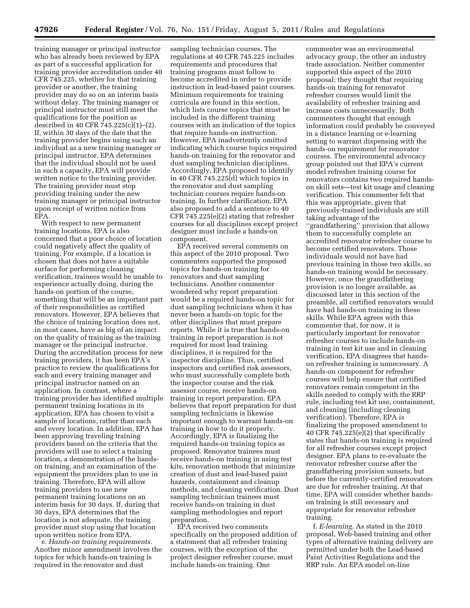training manager or principal instructor who has already been reviewed by EPA as part of a successful application for training provider accreditation under 40 CFR 745.225, whether for that training provider or another, the training provider may do so on an interim basis without delay. The training manager or principal instructor must still meet the qualifications for the position as described in 40 CFR 745.225(c)(1)–(2). If, within 30 days of the date that the training provider begins using such an individual as a new training manager or principal instructor, EPA determines that the individual should not be used in such a capacity, EPA will provide written notice to the training provider. The training provider must stop providing training under the new training manager or principal instructor upon receipt of written notice from EPA.

With respect to new permanent training locations, EPA is also concerned that a poor choice of location could negatively affect the quality of training. For example, if a location is chosen that does not have a suitable surface for performing cleaning verification, trainees would be unable to experience actually doing, during the hands-on portion of the course, something that will be an important part of their responsibilities as certified renovators. However, EPA believes that the choice of training location does not, in most cases, have as big of an impact on the quality of training as the training manager or the principal instructor. During the accreditation process for new training providers, it has been EPA's practice to review the qualifications for each and every training manager and principal instructor named on an application. In contrast, where a training provider has identified multiple permanent training locations in its application, EPA has chosen to visit a sample of locations, rather than each and every location. In addition, EPA has been approving traveling training providers based on the criteria that the providers will use to select a training location, a demonstration of the handson training, and an examination of the equipment the providers plan to use in training. Therefore, EPA will allow training providers to use new permanent training locations on an interim basis for 30 days. If, during that 30 days, EPA determines that the location is not adequate, the training provider must stop using that location upon written notice from EPA.

e. *Hands-on training requirements.*  Another minor amendment involves the topics for which hands-on training is required in the renovator and dust

sampling technician courses. The regulations at 40 CFR 745.225 includes requirements and procedures that training programs must follow to become accredited in order to provide instruction in lead-based paint courses. Minimum requirements for training curricula are found in this section, which lists course topics that must be included in the different training courses with an indication of the topics that require hands-on instruction. However, EPA inadvertently omitted indicating which course topics required hands-on training for the renovator and dust sampling technician disciplines. Accordingly, EPA proposed to identify in 40 CFR 745.225(d) which topics in the renovator and dust sampling technician courses require hands-on training. In further clarification, EPA also proposed to add a sentence to 40 CFR 745.225(e)(2) stating that refresher courses for all disciplines except project designer must include a hands-on component.

EPA received several comments on this aspect of the 2010 proposal. Two commenters supported the proposed topics for hands-on training for renovators and dust sampling technicians. Another commenter wondered why report preparation would be a required hands-on topic for dust sampling technicians when it has never been a hands-on topic for the other disciplines that must prepare reports. While it is true that hands-on training in report preparation is not required for most lead training disciplines, it is required for the inspector discipline. Thus, certified inspectors and certified risk assessors, who must successfully complete both the inspector course and the risk assessor course, receive hands-on training in report preparation. EPA believes that report preparation for dust sampling technicians is likewise important enough to warrant hands-on training in how to do it properly. Accordingly, EPA is finalizing the required hands-on training topics as proposed. Renovator trainees must receive hands-on training in using test kits, renovation methods that minimize creation of dust and lead-based paint hazards, containment and cleanup methods, and cleaning verification. Dust sampling technician trainees must receive hands-on training in dust sampling methodologies and report preparation.

EPA received two comments specifically on the proposed addition of a statement that all refresher training courses, with the exception of the project designer refresher course, must include hands-on training. One

commenter was an environmental advocacy group, the other an industry trade association. Neither commenter supported this aspect of the 2010 proposal; they thought that requiring hands-on training for renovator refresher courses would limit the availability of refresher training and increase costs unnecessarily. Both commenters thought that enough information could probably be conveyed in a distance learning or e-learning setting to warrant dispensing with the hands-on requirement for renovator courses. The environmental advocacy group pointed out that EPA's current model refresher training course for renovators contains two required handson skill sets—test kit usage and cleaning verification. This commenter felt that this was appropriate, given that previously-trained individuals are still taking advantage of the ''grandfathering'' provision that allows them to successfully complete an accredited renovator refresher course to become certified renovators. Those individuals would not have had previous training in those two skills, so hands-on training would be necessary. However, once the grandfathering provision is no longer available, as discussed later in this section of the preamble, all certified renovators would have had hands-on training in these skills. While EPA agrees with this commenter that, for now, it is particularly important for renovator refresher courses to include hands-on training in test kit use and in cleaning verification, EPA disagrees that handson refresher training is unnecessary. A hands-on component for refresher courses will help ensure that certified renovators remain competent in the skills needed to comply with the RRP rule, including test kit use, containment, and cleaning (including cleaning verification). Therefore, EPA is finalizing the proposed amendment to 40 CFR 745.225(e)(2) that specifically states that hands-on training is required for all refresher courses except project designer. EPA plans to re-evaluate the renovator refresher course after the grandfathering provision sunsets, but before the currently-certified renovators are due for refresher training. At that time, EPA will consider whether handson training is still necessary and appropriate for renovator refresher training.

f. *E-learning.* As stated in the 2010 proposal, Web-based training and other types of alternative training delivery are permitted under both the Lead-based Paint Activities Regulations and the RRP rule. An EPA model on-line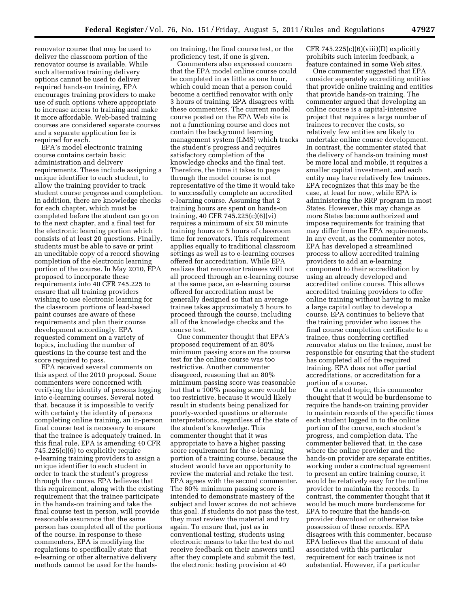renovator course that may be used to deliver the classroom portion of the renovator course is available. While such alternative training delivery options cannot be used to deliver required hands-on training, EPA encourages training providers to make use of such options where appropriate to increase access to training and make it more affordable. Web-based training courses are considered separate courses and a separate application fee is required for each.

EPA's model electronic training course contains certain basic administration and delivery requirements. These include assigning a unique identifier to each student, to allow the training provider to track student course progress and completion. In addition, there are knowledge checks for each chapter, which must be completed before the student can go on to the next chapter, and a final test for the electronic learning portion which consists of at least 20 questions. Finally, students must be able to save or print an uneditable copy of a record showing completion of the electronic learning portion of the course. In May 2010, EPA proposed to incorporate these requirements into 40 CFR 745.225 to ensure that all training providers wishing to use electronic learning for the classroom portions of lead-based paint courses are aware of these requirements and plan their course development accordingly. EPA requested comment on a variety of topics, including the number of questions in the course test and the score required to pass.

EPA received several comments on this aspect of the 2010 proposal. Some commenters were concerned with verifying the identity of persons logging into e-learning courses. Several noted that, because it is impossible to verify with certainty the identity of persons completing online training, an in-person final course test is necessary to ensure that the trainee is adequately trained. In this final rule, EPA is amending 40 CFR 745.225(c)(6) to explicitly require e-learning training providers to assign a unique identifier to each student in order to track the student's progress through the course. EPA believes that this requirement, along with the existing requirement that the trainee participate in the hands-on training and take the final course test in person, will provide reasonable assurance that the same person has completed all of the portions of the course. In response to these commenters, EPA is modifying the regulations to specifically state that e-learning or other alternative delivery methods cannot be used for the handson training, the final course test, or the proficiency test, if one is given.

Commenters also expressed concern that the EPA model online course could be completed in as little as one hour, which could mean that a person could become a certified renovator with only 3 hours of training. EPA disagrees with these commenters. The current model course posted on the EPA Web site is not a functioning course and does not contain the background learning management system (LMS) which tracks the student's progress and requires satisfactory completion of the knowledge checks and the final test. Therefore, the time it takes to page through the model course is not representative of the time it would take to successfully complete an accredited e-learning course. Assuming that 2 training hours are spent on hands-on training, 40 CFR 745.225(c)(6)(vi) requires a minimum of six 50 minute training hours or 5 hours of classroom time for renovators. This requirement applies equally to traditional classroom settings as well as to e-learning courses offered for accreditation. While EPA realizes that renovator trainees will not all proceed through an e-learning course at the same pace, an e-learning course offered for accreditation must be generally designed so that an average trainee takes approximately 5 hours to proceed through the course, including all of the knowledge checks and the course test.

One commenter thought that EPA's proposed requirement of an 80% minimum passing score on the course test for the online course was too restrictive. Another commenter disagreed, reasoning that an 80% minimum passing score was reasonable but that a 100% passing score would be too restrictive, because it would likely result in students being penalized for poorly-worded questions or alternate interpretations, regardless of the state of the student's knowledge. This commenter thought that it was appropriate to have a higher passing score requirement for the e-learning portion of a training course, because the student would have an opportunity to review the material and retake the test. EPA agrees with the second commenter. The  $80\%$  minimum passing score is intended to demonstrate mastery of the subject and lower scores do not achieve this goal. If students do not pass the test, they must review the material and try again. To ensure that, just as in conventional testing, students using electronic means to take the test do not receive feedback on their answers until after they complete and submit the test, the electronic testing provision at 40

CFR  $745.225(c)(6)(viii)(D)$  explicitly prohibits such interim feedback, a feature contained in some Web sites.

One commenter suggested that EPA consider separately accrediting entities that provide online training and entities that provide hands-on training. The commenter argued that developing an online course is a capital-intensive project that requires a large number of trainees to recover the costs, so relatively few entities are likely to undertake online course development. In contrast, the commenter stated that the delivery of hands-on training must be more local and mobile, it requires a smaller capital investment, and each entity may have relatively few trainees. EPA recognizes that this may be the case, at least for now, while EPA is administering the RRP program in most States. However, this may change as more States become authorized and impose requirements for training that may differ from the EPA requirements. In any event, as the commenter notes, EPA has developed a streamlined process to allow accredited training providers to add an e-learning component to their accreditation by using an already developed and accredited online course. This allows accredited training providers to offer online training without having to make a large capital outlay to develop a course. EPA continues to believe that the training provider who issues the final course completion certificate to a trainee, thus conferring certified renovator status on the trainee, must be responsible for ensuring that the student has completed all of the required training. EPA does not offer partial accreditations, or accreditation for a portion of a course.

On a related topic, this commenter thought that it would be burdensome to require the hands-on training provider to maintain records of the specific times each student logged in to the online portion of the course, each student's progress, and completion data. The commenter believed that, in the case where the online provider and the hands-on provider are separate entities, working under a contractual agreement to present an entire training course, it would be relatively easy for the online provider to maintain the records. In contrast, the commenter thought that it would be much more burdensome for EPA to require that the hands-on provider download or otherwise take possession of these records. EPA disagrees with this commenter, because EPA believes that the amount of data associated with this particular requirement for each trainee is not substantial. However, if a particular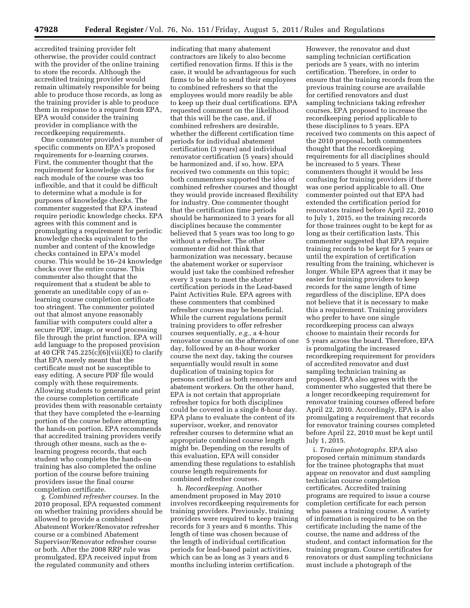accredited training provider felt otherwise, the provider could contract with the provider of the online training to store the records. Although the accredited training provider would remain ultimately responsible for being able to produce those records, as long as the training provider is able to produce them in response to a request from EPA, EPA would consider the training provider in compliance with the recordkeeping requirements.

One commenter provided a number of specific comments on EPA's proposed requirements for e-learning courses. First, the commenter thought that the requirement for knowledge checks for each module of the course was too inflexible, and that it could be difficult to determine what a module is for purposes of knowledge checks. The commenter suggested that EPA instead require periodic knowledge checks. EPA agrees with this comment and is promulgating a requirement for periodic knowledge checks equivalent to the number and content of the knowledge checks contained in EPA's model course. This would be 16–24 knowledge checks over the entire course. This commenter also thought that the requirement that a student be able to generate an uneditable copy of an elearning course completion certificate too stringent. The commenter pointed out that almost anyone reasonably familiar with computers could alter a secure PDF, image, or word processing file through the print function. EPA will add language to the proposed provision at 40 CFR 745.225 $(c)(6)(viii)(E)$  to clarify that EPA merely meant that the certificate must not be susceptible to easy editing. A secure PDF file would comply with these requirements. Allowing students to generate and print the course completion certificate provides them with reasonable certainty that they have completed the e-learning portion of the course before attempting the hands-on portion. EPA recommends that accredited training providers verify through other means, such as the elearning progress records, that each student who completes the hands-on training has also completed the online portion of the course before training providers issue the final course completion certificate.

g. *Combined refresher courses.* In the 2010 proposal, EPA requested comment on whether training providers should be allowed to provide a combined Abatement Worker/Renovator refresher course or a combined Abatement Supervisor/Renovator refresher course or both. After the 2008 RRP rule was promulgated, EPA received input from the regulated community and others

indicating that many abatement contractors are likely to also become certified renovation firms. If this is the case, it would be advantageous for such firms to be able to send their employees to combined refreshers so that the employees would more readily be able to keep up their dual certifications. EPA requested comment on the likelihood that this will be the case, and, if combined refreshers are desirable, whether the different certification time periods for individual abatement certification (3 years) and individual renovator certification (5 years) should be harmonized and, if so, how. EPA received two comments on this topic; both commenters supported the idea of combined refresher courses and thought they would provide increased flexibility for industry. One commenter thought that the certification time periods should be harmonized to 3 years for all disciplines because the commenter believed that 5 years was too long to go without a refresher. The other commenter did not think that harmonization was necessary, because the abatement worker or supervisor would just take the combined refresher every 3 years to meet the shorter certification periods in the Lead-based Paint Activities Rule. EPA agrees with these commenters that combined refresher courses may be beneficial. While the current regulations permit training providers to offer refresher courses sequentially, *e.g.,* a 4-hour renovator course on the afternoon of one day, followed by an 8-hour worker course the next day, taking the courses sequentially would result in some duplication of training topics for persons certified as both renovators and abatement workers. On the other hand, EPA is not certain that appropriate refresher topics for both disciplines could be covered in a single 8-hour day. EPA plans to evaluate the content of its supervisor, worker, and renovator refresher courses to determine what an appropriate combined course length might be. Depending on the results of this evaluation, EPA will consider amending these regulations to establish course length requirements for combined refresher courses.

h. *Recordkeeping.* Another amendment proposed in May 2010 involves recordkeeping requirements for training providers. Previously, training providers were required to keep training records for 3 years and 6 months. This length of time was chosen because of the length of individual certification periods for lead-based paint activities, which can be as long as 3 years and 6 months including interim certification.

However, the renovator and dust sampling technician certification periods are 5 years, with no interim certification. Therefore, in order to ensure that the training records from the previous training course are available for certified renovators and dust sampling technicians taking refresher courses, EPA proposed to increase the recordkeeping period applicable to these disciplines to 5 years. EPA received two comments on this aspect of the 2010 proposal, both commenters thought that the recordkeeping requirements for all disciplines should be increased to 5 years. These commenters thought it would be less confusing for training providers if there was one period applicable to all. One commenter pointed out that EPA had extended the certification period for renovators trained before April 22, 2010 to July 1, 2015, so the training records for those trainees ought to be kept for as long as their certification lasts. This commenter suggested that EPA require training records to be kept for 5 years or until the expiration of certification resulting from the training, whichever is longer. While EPA agrees that it may be easier for training providers to keep records for the same length of time regardless of the discipline, EPA does not believe that it is necessary to make this a requirement. Training providers who prefer to have one single recordkeeping process can always choose to maintain their records for 5 years across the board. Therefore, EPA is promulgating the increased recordkeeping requirement for providers of accredited renovator and dust sampling technician training as proposed. EPA also agrees with the commenter who suggested that there be a longer recordkeeping requirement for renovator training courses offered before April 22, 2010. Accordingly, EPA is also promulgating a requirement that records for renovator training courses completed before April 22, 2010 must be kept until July 1, 2015.

i. *Trainee photographs.* EPA also proposed certain minimum standards for the trainee photographs that must appear on renovator and dust sampling technician course completion certificates. Accredited training programs are required to issue a course completion certificate for each person who passes a training course. A variety of information is required to be on the certificate including the name of the course, the name and address of the student, and contact information for the training program. Course certificates for renovators or dust sampling technicians must include a photograph of the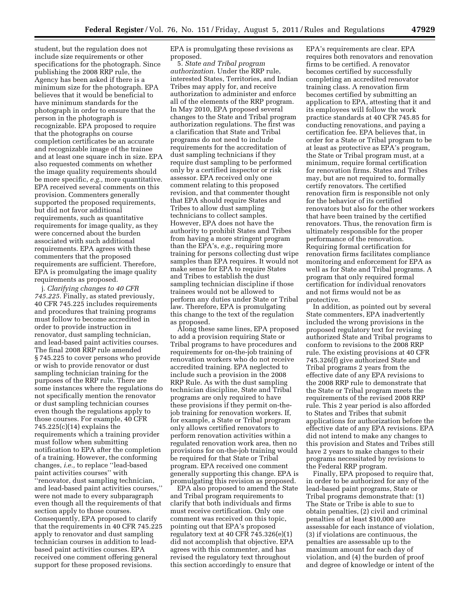student, but the regulation does not include size requirements or other specifications for the photograph. Since publishing the 2008 RRP rule, the Agency has been asked if there is a minimum size for the photograph. EPA believes that it would be beneficial to have minimum standards for the photograph in order to ensure that the person in the photograph is recognizable. EPA proposed to require that the photographs on course completion certificates be an accurate and recognizable image of the trainee and at least one square inch in size. EPA also requested comments on whether the image quality requirements should be more specific, *e.g.,* more quantitative. EPA received several comments on this provision. Commenters generally supported the proposed requirements, but did not favor additional requirements, such as quantitative requirements for image quality, as they were concerned about the burden associated with such additional requirements. EPA agrees with these commenters that the proposed requirements are sufficient. Therefore, EPA is promulgating the image quality requirements as proposed.

j. *Clarifying changes to 40 CFR 745.225.* Finally, as stated previously, 40 CFR 745.225 includes requirements and procedures that training programs must follow to become accredited in order to provide instruction in renovator, dust sampling technician, and lead-based paint activities courses. The final 2008 RRP rule amended § 745.225 to cover persons who provide or wish to provide renovator or dust sampling technician training for the purposes of the RRP rule. There are some instances where the regulations do not specifically mention the renovator or dust sampling technician courses even though the regulations apply to those courses. For example, 40 CFR 745.225(c)(14) explains the requirements which a training provider must follow when submitting notification to EPA after the completion of a training. However, the conforming changes, *i.e.,* to replace ''lead-based paint activities courses'' with ''renovator, dust sampling technician, and lead-based paint activities courses,'' were not made to every subparagraph even though all the requirements of that section apply to those courses. Consequently, EPA proposed to clarify that the requirements in 40 CFR 745.225 apply to renovator and dust sampling technician courses in addition to leadbased paint activities courses. EPA received one comment offering general support for these proposed revisions.

EPA is promulgating these revisions as proposed.

5*. State and Tribal program authorization.* Under the RRP rule, interested States, Territories, and Indian Tribes may apply for, and receive authorization to administer and enforce all of the elements of the RRP program. In May 2010, EPA proposed several changes to the State and Tribal program authorization regulations. The first was a clarification that State and Tribal programs do not need to include requirements for the accreditation of dust sampling technicians if they require dust sampling to be performed only by a certified inspector or risk assessor. EPA received only one comment relating to this proposed revision, and that commenter thought that EPA should require States and Tribes to allow dust sampling technicians to collect samples. However, EPA does not have the authority to prohibit States and Tribes from having a more stringent program than the EPA's, *e.g.,* requiring more training for persons collecting dust wipe samples than EPA requires. It would not make sense for EPA to require States and Tribes to establish the dust sampling technician discipline if those trainees would not be allowed to perform any duties under State or Tribal law. Therefore, EPA is promulgating this change to the text of the regulation as proposed.

Along these same lines, EPA proposed to add a provision requiring State or Tribal programs to have procedures and requirements for on-the-job training of renovation workers who do not receive accredited training. EPA neglected to include such a provision in the 2008 RRP Rule. As with the dust sampling technician discipline, State and Tribal programs are only required to have these provisions if they permit on-thejob training for renovation workers. If, for example, a State or Tribal program only allows certified renovators to perform renovation activities within a regulated renovation work area, then no provisions for on-the-job training would be required for that State or Tribal program. EPA received one comment generally supporting this change. EPA is promulgating this revision as proposed.

EPA also proposed to amend the State and Tribal program requirements to clarify that both individuals and firms must receive certification. Only one comment was received on this topic, pointing out that EPA's proposed regulatory text at 40 CFR 745.326(e)(1) did not accomplish that objective. EPA agrees with this commenter, and has revised the regulatory text throughout this section accordingly to ensure that

EPA's requirements are clear. EPA requires both renovators and renovation firms to be certified. A renovator becomes certified by successfully completing an accredited renovator training class. A renovation firm becomes certified by submitting an application to EPA, attesting that it and its employees will follow the work practice standards at 40 CFR 745.85 for conducting renovations, and paying a certification fee. EPA believes that, in order for a State or Tribal program to be at least as protective as EPA's program, the State or Tribal program must, at a minimum, require formal certification for renovation firms. States and Tribes may, but are not required to, formally certify renovators. The certified renovation firm is responsible not only for the behavior of its certified renovators but also for the other workers that have been trained by the certified renovators. Thus, the renovation firm is ultimately responsible for the proper performance of the renovation. Requiring formal certification for renovation firms facilitates compliance monitoring and enforcement for EPA as well as for State and Tribal programs. A program that only required formal certification for individual renovators and not firms would not be as protective.

In addition, as pointed out by several State commenters, EPA inadvertently included the wrong provisions in the proposed regulatory text for revising authorized State and Tribal programs to conform to revisions to the 2008 RRP rule. The existing provisions at 40 CFR 745.326(f) give authorized State and Tribal programs 2 years from the effective date of any EPA revisions to the 2008 RRP rule to demonstrate that the State or Tribal program meets the requirements of the revised 2008 RRP rule. This 2 year period is also afforded to States and Tribes that submit applications for authorization before the effective date of any EPA revisions. EPA did not intend to make any changes to this provision and States and Tribes still have 2 years to make changes to their programs necessitated by revisions to the Federal RRP program.

Finally, EPA proposed to require that, in order to be authorized for any of the lead-based paint programs, State or Tribal programs demonstrate that: (1) The State or Tribe is able to sue to obtain penalties, (2) civil and criminal penalties of at least \$10,000 are assessable for each instance of violation, (3) if violations are continuous, the penalties are assessable up to the maximum amount for each day of violation, and (4) the burden of proof and degree of knowledge or intent of the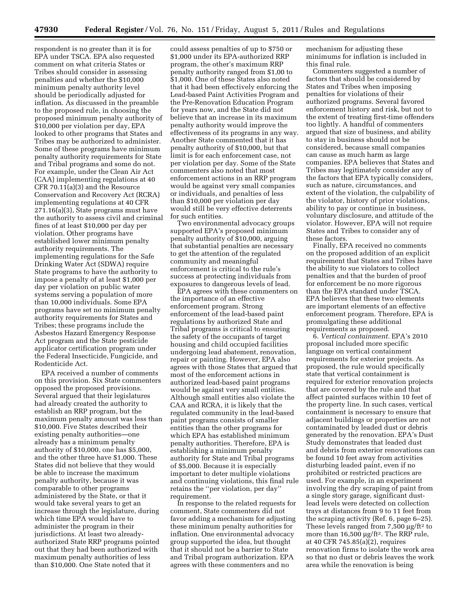respondent is no greater than it is for EPA under TSCA. EPA also requested comment on what criteria States or Tribes should consider in assessing penalties and whether the \$10,000 minimum penalty authority level should be periodically adjusted for inflation. As discussed in the preamble to the proposed rule, in choosing the proposed minimum penalty authority of \$10,000 per violation per day, EPA looked to other programs that States and Tribes may be authorized to administer. Some of these programs have minimum penalty authority requirements for State and Tribal programs and some do not. For example, under the Clean Air Act (CAA) implementing regulations at 40 CFR 70.11(a)(3) and the Resource Conservation and Recovery Act (RCRA) implementing regulations at 40 CFR 271.16(a)(3), State programs must have the authority to assess civil and criminal fines of at least \$10,000 per day per violation. Other programs have established lower minimum penalty authority requirements. The implementing regulations for the Safe Drinking Water Act (SDWA) require State programs to have the authority to impose a penalty of at least \$1,000 per day per violation on public water systems serving a population of more than 10,000 individuals. Some EPA programs have set no minimum penalty authority requirements for States and Tribes; these programs include the Asbestos Hazard Emergency Response Act program and the State pesticide applicator certification program under the Federal Insecticide, Fungicide, and Rodenticide Act.

EPA received a number of comments on this provision. Six State commenters opposed the proposed provisions. Several argued that their legislatures had already created the authority to establish an RRP program, but the maximum penalty amount was less than \$10,000. Five States described their existing penalty authorities—one already has a minimum penalty authority of \$10,000, one has \$5,000, and the other three have \$1,000. These States did not believe that they would be able to increase the maximum penalty authority, because it was comparable to other programs administered by the State, or that it would take several years to get an increase through the legislature, during which time EPA would have to administer the program in their jurisdictions. At least two alreadyauthorized State RRP programs pointed out that they had been authorized with maximum penalty authorities of less than \$10,000. One State noted that it

could assess penalties of up to \$750 or \$1,000 under its EPA-authorized RRP program, the other's maximum RRP penalty authority ranged from \$1,00 to \$1,000. One of these States also noted that it had been effectively enforcing the Lead-based Paint Activities Program and the Pre-Renovation Education Program for years now, and the State did not believe that an increase in its maximum penalty authority would improve the effectiveness of its programs in any way. Another State commented that it has penalty authority of \$10,000, but that limit is for each enforcement case, not per violation per day. Some of the State commenters also noted that most enforcement actions in an RRP program would be against very small companies or individuals, and penalties of less than \$10,000 per violation per day would still be very effective deterrents for such entities.

Two environmental advocacy groups supported EPA's proposed minimum penalty authority of \$10,000, arguing that substantial penalties are necessary to get the attention of the regulated community and meaningful enforcement is critical to the rule's success at protecting individuals from exposures to dangerous levels of lead.

EPA agrees with these commenters on the importance of an effective enforcement program. Strong enforcement of the lead-based paint regulations by authorized State and Tribal programs is critical to ensuring the safety of the occupants of target housing and child occupied facilities undergoing lead abatement, renovation, repair or painting. However, EPA also agrees with those States that argued that most of the enforcement actions in authorized lead-based paint programs would be against very small entities. Although small entities also violate the CAA and RCRA, it is likely that the regulated community in the lead-based paint programs consists of smaller entities than the other programs for which EPA has established minimum penalty authorities. Therefore, EPA is establishing a minimum penalty authority for State and Tribal programs of \$5,000. Because it is especially important to deter multiple violations and continuing violations, this final rule retains the ''per violation, per day'' requirement.

In response to the related requests for comment, State commenters did not favor adding a mechanism for adjusting these minimum penalty authorities for inflation. One environmental advocacy group supported the idea, but thought that it should not be a barrier to State and Tribal program authorization. EPA agrees with these commenters and no

mechanism for adjusting these minimums for inflation is included in this final rule.

Commenters suggested a number of factors that should be considered by States and Tribes when imposing penalties for violations of their authorized programs. Several favored enforcement history and risk, but not to the extent of treating first-time offenders too lightly. A handful of commenters argued that size of business, and ability to stay in business should not be considered, because small companies can cause as much harm as large companies. EPA believes that States and Tribes may legitimately consider any of the factors that EPA typically considers, such as nature, circumstances, and extent of the violation, the culpability of the violator, history of prior violations, ability to pay or continue in business, voluntary disclosure, and attitude of the violator. However, EPA will not require States and Tribes to consider any of these factors.

Finally, EPA received no comments on the proposed addition of an explicit requirement that States and Tribes have the ability to sue violators to collect penalties and that the burden of proof for enforcement be no more rigorous than the EPA standard under TSCA. EPA believes that these two elements are important elements of an effective enforcement program. Therefore, EPA is promulgating these additional requirements as proposed.

6. *Vertical containment.* EPA's 2010 proposal included more specific language on vertical containment requirements for exterior projects. As proposed, the rule would specifically state that vertical containment is required for exterior renovation projects that are covered by the rule and that affect painted surfaces within 10 feet of the property line. In such cases, vertical containment is necessary to ensure that adjacent buildings or properties are not contaminated by leaded dust or debris generated by the renovation. EPA's Dust Study demonstrates that leaded dust and debris from exterior renovations can be found 10 feet away from activities disturbing leaded paint, even if no prohibited or restricted practices are used. For example, in an experiment involving the dry scraping of paint from a single story garage, significant dustlead levels were detected on collection trays at distances from 9 to 11 feet from the scraping activity (Ref. 6, page 6–25). These levels ranged from 7,500  $\mu$ g/ft<sup>2</sup> to more than 16,500 μg/ft<sup>2</sup>. The RRP rule, at 40 CFR 745.85(a)(2), requires renovation firms to isolate the work area so that no dust or debris leaves the work area while the renovation is being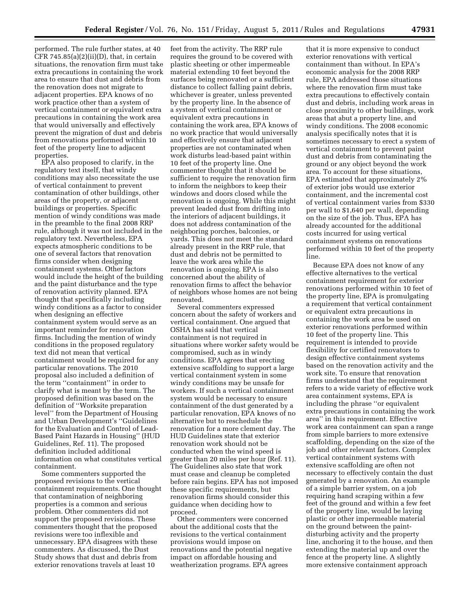performed. The rule further states, at 40 CFR  $745.85(a)(2)(ii)(D)$ , that, in certain situations, the renovation firm must take extra precautions in containing the work area to ensure that dust and debris from the renovation does not migrate to adjacent properties. EPA knows of no work practice other than a system of vertical containment or equivalent extra precautions in containing the work area that would universally and effectively prevent the migration of dust and debris from renovations performed within 10 feet of the property line to adjacent properties.

EPA also proposed to clarify, in the regulatory text itself, that windy conditions may also necessitate the use of vertical containment to prevent contamination of other buildings, other areas of the property, or adjacent buildings or properties. Specific mention of windy conditions was made in the preamble to the final 2008 RRP rule, although it was not included in the regulatory text. Nevertheless, EPA expects atmospheric conditions to be one of several factors that renovation firms consider when designing containment systems. Other factors would include the height of the building and the paint disturbance and the type of renovation activity planned. EPA thought that specifically including windy conditions as a factor to consider when designing an effective containment system would serve as an important reminder for renovation firms. Including the mention of windy conditions in the proposed regulatory text did not mean that vertical containment would be required for any particular renovations. The 2010 proposal also included a definition of the term ''containment'' in order to clarify what is meant by the term. The proposed definition was based on the definition of ''Worksite preparation level'' from the Department of Housing and Urban Development's ''Guidelines for the Evaluation and Control of Lead-Based Paint Hazards in Housing'' (HUD Guidelines, Ref. 11). The proposed definition included additional information on what constitutes vertical containment.

Some commenters supported the proposed revisions to the vertical containment requirements. One thought that contamination of neighboring properties is a common and serious problem. Other commenters did not support the proposed revisions. These commenters thought that the proposed revisions were too inflexible and unnecessary. EPA disagrees with these commenters. As discussed, the Dust Study shows that dust and debris from exterior renovations travels at least 10

feet from the activity. The RRP rule requires the ground to be covered with plastic sheeting or other impermeable material extending 10 feet beyond the surfaces being renovated or a sufficient distance to collect falling paint debris, whichever is greater, unless prevented by the property line. In the absence of a system of vertical containment or equivalent extra precautions in containing the work area, EPA knows of no work practice that would universally and effectively ensure that adjacent properties are not contaminated when work disturbs lead-based paint within 10 feet of the property line. One commenter thought that it should be sufficient to require the renovation firm to inform the neighbors to keep their windows and doors closed while the renovation is ongoing. While this might prevent leaded dust from drifting into the interiors of adjacent buildings, it does not address contamination of the neighboring porches, balconies, or yards. This does not meet the standard already present in the RRP rule, that dust and debris not be permitted to leave the work area while the renovation is ongoing. EPA is also concerned about the ability of renovation firms to affect the behavior of neighbors whose homes are not being renovated.

Several commenters expressed concern about the safety of workers and vertical containment. One argued that OSHA has said that vertical containment is not required in situations where worker safety would be compromised, such as in windy conditions. EPA agrees that erecting extensive scaffolding to support a large vertical containment system in some windy conditions may be unsafe for workers. If such a vertical containment system would be necessary to ensure containment of the dust generated by a particular renovation, EPA knows of no alternative but to reschedule the renovation for a more clement day. The HUD Guidelines state that exterior renovation work should not be conducted when the wind speed is greater than 20 miles per hour (Ref. 11). The Guidelines also state that work must cease and cleanup be completed before rain begins. EPA has not imposed these specific requirements, but renovation firms should consider this guidance when deciding how to proceed.

Other commenters were concerned about the additional costs that the revisions to the vertical containment provisions would impose on renovations and the potential negative impact on affordable housing and weatherization programs. EPA agrees

that it is more expensive to conduct exterior renovations with vertical containment than without. In EPA's economic analysis for the 2008 RRP rule, EPA addressed those situations where the renovation firm must take extra precautions to effectively contain dust and debris, including work areas in close proximity to other buildings, work areas that abut a property line, and windy conditions. The 2008 economic analysis specifically notes that it is sometimes necessary to erect a system of vertical containment to prevent paint dust and debris from contaminating the ground or any object beyond the work area. To account for these situations, EPA estimated that approximately 2% of exterior jobs would use exterior containment, and the incremental cost of vertical containment varies from \$330 per wall to \$1,640 per wall, depending on the size of the job. Thus, EPA has already accounted for the additional costs incurred for using vertical containment systems on renovations performed within 10 feet of the property line.

Because EPA does not know of any effective alternatives to the vertical containment requirement for exterior renovations performed within 10 feet of the property line, EPA is promulgating a requirement that vertical containment or equivalent extra precautions in containing the work area be used on exterior renovations performed within 10 feet of the property line. This requirement is intended to provide flexibility for certified renovators to design effective containment systems based on the renovation activity and the work site. To ensure that renovation firms understand that the requirement refers to a wide variety of effective work area containment systems, EPA is including the phrase ''or equivalent extra precautions in containing the work area'' in this requirement. Effective work area containment can span a range from simple barriers to more extensive scaffolding, depending on the size of the job and other relevant factors. Complex vertical containment systems with extensive scaffolding are often not necessary to effectively contain the dust generated by a renovation. An example of a simple barrier system, on a job requiring hand scraping within a few feet of the ground and within a few feet of the property line, would be laying plastic or other impermeable material on the ground between the paintdisturbing activity and the property line, anchoring it to the house, and then extending the material up and over the fence at the property line. A slightly more extensive containment approach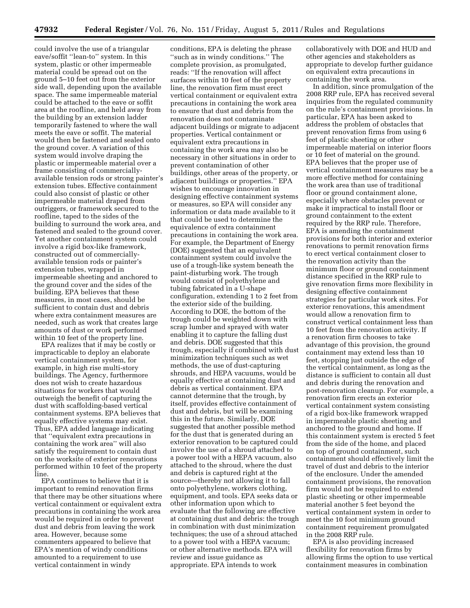could involve the use of a triangular eave/soffit ''lean-to'' system. In this system, plastic or other impermeable material could be spread out on the ground 5–10 feet out from the exterior side wall, depending upon the available space. The same impermeable material could be attached to the eave or soffit area at the roofline, and held away from the building by an extension ladder temporarily fastened to where the wall meets the eave or soffit. The material would then be fastened and sealed onto the ground cover. A variation of this system would involve draping the plastic or impermeable material over a frame consisting of commerciallyavailable tension rods or strong painter's extension tubes. Effective containment could also consist of plastic or other impermeable material draped from outriggers, or framework secured to the roofline, taped to the sides of the building to surround the work area, and fastened and sealed to the ground cover. Yet another containment system could involve a rigid box-like framework, constructed out of commerciallyavailable tension rods or painter's extension tubes, wrapped in impermeable sheeting and anchored to the ground cover and the sides of the building. EPA believes that these measures, in most cases, should be sufficient to contain dust and debris where extra containment measures are needed, such as work that creates large amounts of dust or work performed within 10 feet of the property line.

EPA realizes that it may be costly or impracticable to deploy an elaborate vertical containment system, for example, in high rise multi-story buildings. The Agency, furthermore does not wish to create hazardous situations for workers that would outweigh the benefit of capturing the dust with scaffolding-based vertical containment systems. EPA believes that equally effective systems may exist. Thus, EPA added language indicating that ''equivalent extra precautions in containing the work area'' will also satisfy the requirement to contain dust on the worksite of exterior renovations performed within 10 feet of the property line.

EPA continues to believe that it is important to remind renovation firms that there may be other situations where vertical containment or equivalent extra precautions in containing the work area would be required in order to prevent dust and debris from leaving the work area. However, because some commenters appeared to believe that EPA's mention of windy conditions amounted to a requirement to use vertical containment in windy

conditions, EPA is deleting the phrase ''such as in windy conditions.'' The complete provision, as promulgated, reads: ''If the renovation will affect surfaces within 10 feet of the property line, the renovation firm must erect vertical containment or equivalent extra precautions in containing the work area to ensure that dust and debris from the renovation does not contaminate adjacent buildings or migrate to adjacent properties. Vertical containment or equivalent extra precautions in containing the work area may also be necessary in other situations in order to prevent contamination of other buildings, other areas of the property, or adjacent buildings or properties.'' EPA wishes to encourage innovation in designing effective containment systems or measures, so EPA will consider any information or data made available to it that could be used to determine the equivalence of extra containment precautions in containing the work area. For example, the Department of Energy (DOE) suggested that an equivalent containment system could involve the use of a trough-like system beneath the paint-disturbing work. The trough would consist of polyethylene and tubing fabricated in a U-shape configuration, extending 1 to 2 feet from the exterior side of the building. According to DOE, the bottom of the trough could be weighted down with scrap lumber and sprayed with water enabling it to capture the falling dust and debris. DOE suggested that this trough, especially if combined with dust minimization techniques such as wet methods, the use of dust-capturing shrouds, and HEPA vacuums, would be equally effective at containing dust and debris as vertical containment. EPA cannot determine that the trough, by itself, provides effective containment of dust and debris, but will be examining this in the future. Similarly, DOE suggested that another possible method for the dust that is generated during an exterior renovation to be captured could involve the use of a shroud attached to a power tool with a HEPA vacuum, also attached to the shroud, where the dust and debris is captured right at the source—thereby not allowing it to fall onto polyethylene, workers clothing, equipment, and tools. EPA seeks data or other information upon which to evaluate that the following are effective at containing dust and debris: the trough in combination with dust minimization techniques; the use of a shroud attached to a power tool with a HEPA vacuum; or other alternative methods. EPA will review and issue guidance as appropriate. EPA intends to work

collaboratively with DOE and HUD and other agencies and stakeholders as appropriate to develop further guidance on equivalent extra precautions in containing the work area.

In addition, since promulgation of the 2008 RRP rule, EPA has received several inquiries from the regulated community on the rule's containment provisions. In particular, EPA has been asked to address the problem of obstacles that prevent renovation firms from using 6 feet of plastic sheeting or other impermeable material on interior floors or 10 feet of material on the ground. EPA believes that the proper use of vertical containment measures may be a more effective method for containing the work area than use of traditional floor or ground containment alone, especially where obstacles prevent or make it impractical to install floor or ground containment to the extent required by the RRP rule. Therefore, EPA is amending the containment provisions for both interior and exterior renovations to permit renovation firms to erect vertical containment closer to the renovation activity than the minimum floor or ground containment distance specified in the RRP rule to give renovation firms more flexibility in designing effective containment strategies for particular work sites. For exterior renovations, this amendment would allow a renovation firm to construct vertical containment less than 10 feet from the renovation activity. If a renovation firm chooses to take advantage of this provision, the ground containment may extend less than 10 feet, stopping just outside the edge of the vertical containment, as long as the distance is sufficient to contain all dust and debris during the renovation and post-renovation cleanup. For example, a renovation firm erects an exterior vertical containment system consisting of a rigid box-like framework wrapped in impermeable plastic sheeting and anchored to the ground and home. If this containment system is erected 5 feet from the side of the home, and placed on top of ground containment, such containment should effectively limit the travel of dust and debris to the interior of the enclosure. Under the amended containment provisions, the renovation firm would not be required to extend plastic sheeting or other impermeable material another 5 feet beyond the vertical containment system in order to meet the 10 foot minimum ground containment requirement promulgated in the 2008 RRP rule.

EPA is also providing increased flexibility for renovation firms by allowing firms the option to use vertical containment measures in combination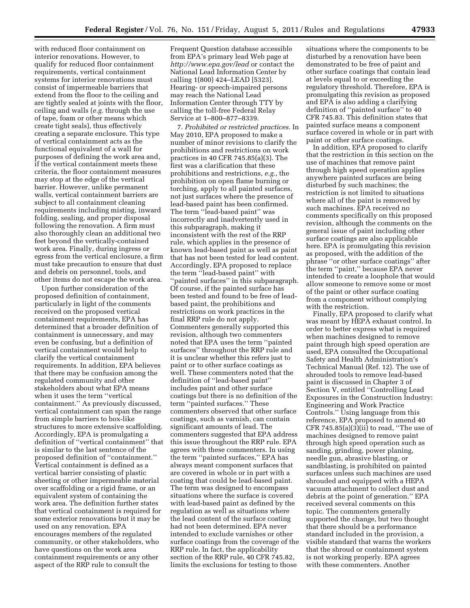with reduced floor containment on interior renovations. However, to qualify for reduced floor containment requirements, vertical containment systems for interior renovations must consist of impermeable barriers that extend from the floor to the ceiling and are tightly sealed at joints with the floor, ceiling and walls (*e.g.* through the use of tape, foam or other means which create tight seals), thus effectively creating a separate enclosure. This type of vertical containment acts as the functional equivalent of a wall for purposes of defining the work area and, if the vertical containment meets these criteria, the floor containment measures may stop at the edge of the vertical barrier. However, unlike permanent walls, vertical containment barriers are subject to all containment cleaning requirements including misting, inward folding, sealing, and proper disposal following the renovation. A firm must also thoroughly clean an additional two feet beyond the vertically-contained work area. Finally, during ingress or egress from the vertical enclosure, a firm must take precaution to ensure that dust and debris on personnel, tools, and other items do not escape the work area.

Upon further consideration of the proposed definition of containment, particularly in light of the comments received on the proposed vertical containment requirements, EPA has determined that a broader definition of containment is unnecessary, and may even be confusing, but a definition of vertical containment would help to clarify the vertical containment requirements. In addition, EPA believes that there may be confusion among the regulated community and other stakeholders about what EPA means when it uses the term ''vertical containment.'' As previously discussed, vertical containment can span the range from simple barriers to box-like structures to more extensive scaffolding. Accordingly, EPA is promulgating a definition of ''vertical containment'' that is similar to the last sentence of the proposed definition of ''containment.'' Vertical containment is defined as a vertical barrier consisting of plastic sheeting or other impermeable material over scaffolding or a rigid frame, or an equivalent system of containing the work area. The definition further states that vertical containment is required for some exterior renovations but it may be used on any renovation. EPA encourages members of the regulated community, or other stakeholders, who have questions on the work area containment requirements or any other aspect of the RRP rule to consult the

Frequent Question database accessible from EPA's primary lead Web page at *<http://www.epa.gov/lead>*or contact the National Lead Information Center by calling 1(800) 424–LEAD [5323]. Hearing- or speech-impaired persons may reach the National Lead Information Center through TTY by calling the toll-free Federal Relay Service at 1–800–877–8339.

7. *Prohibited or restricted practices.* In May 2010, EPA proposed to make a number of minor revisions to clarify the prohibitions and restrictions on work practices in 40 CFR 745.85(a)(3). The first was a clarification that these prohibitions and restrictions, *e.g.,* the prohibition on open flame burning or torching, apply to all painted surfaces, not just surfaces where the presence of lead-based paint has been confirmed. The term ''lead-based paint'' was incorrectly and inadvertently used in this subparagraph, making it inconsistent with the rest of the RRP rule, which applies in the presence of known lead-based paint as well as paint that has not been tested for lead content. Accordingly, EPA proposed to replace the term ''lead-based paint'' with ''painted surfaces'' in this subparagraph. Of course, if the painted surface has been tested and found to be free of leadbased paint, the prohibitions and restrictions on work practices in the final RRP rule do not apply. Commenters generally supported this revision, although two commenters noted that EPA uses the term ''painted surfaces'' throughout the RRP rule and it is unclear whether this refers just to paint or to other surface coatings as well. These commenters noted that the definition of ''lead-based paint'' includes paint and other surface coatings but there is no definition of the term ''painted surfaces.'' These commenters observed that other surface coatings, such as varnish, can contain significant amounts of lead. The commenters suggested that EPA address this issue throughout the RRP rule. EPA agrees with these commenters. In using the term ''painted surfaces,'' EPA has always meant component surfaces that are covered in whole or in part with a coating that could be lead-based paint. The term was designed to encompass situations where the surface is covered with lead-based paint as defined by the regulation as well as situations where the lead content of the surface coating had not been determined. EPA never intended to exclude varnishes or other surface coatings from the coverage of the RRP rule. In fact, the applicability section of the RRP rule, 40 CFR 745.82, limits the exclusions for testing to those

situations where the components to be disturbed by a renovation have been demonstrated to be free of paint and other surface coatings that contain lead at levels equal to or exceeding the regulatory threshold. Therefore, EPA is promulgating this revision as proposed and EPA is also adding a clarifying definition of ''painted surface'' to 40 CFR 745.83. This definition states that painted surface means a component surface covered in whole or in part with paint or other surface coatings.

In addition, EPA proposed to clarify that the restriction in this section on the use of machines that remove paint through high speed operation applies anywhere painted surfaces are being disturbed by such machines; the restriction is not limited to situations where all of the paint is removed by such machines. EPA received no comments specifically on this proposed revision, although the comments on the general issue of paint including other surface coatings are also applicable here. EPA is promulgating this revision as proposed, with the addition of the phrase ''or other surface coatings'' after the term ''paint,'' because EPA never intended to create a loophole that would allow someone to remove some or most of the paint or other surface coating from a component without complying with the restriction.

Finally, EPA proposed to clarify what was meant by HEPA exhaust control. In order to better express what is required when machines designed to remove paint through high speed operation are used, EPA consulted the Occupational Safety and Health Administration's Technical Manual (Ref. 12). The use of shrouded tools to remove lead-based paint is discussed in Chapter 3 of Section V, entitled ''Controlling Lead Exposures in the Construction Industry: Engineering and Work Practice Controls.'' Using language from this reference, EPA proposed to amend 40 CFR  $745.85(a)(3)(ii)$  to read, "The use of machines designed to remove paint through high speed operation such as sanding, grinding, power planing, needle gun, abrasive blasting, or sandblasting, is prohibited on painted surfaces unless such machines are used shrouded and equipped with a HEPA vacuum attachment to collect dust and debris at the point of generation.'' EPA received several comments on this topic. The commenters generally supported the change, but two thought that there should be a performance standard included in the provision, a visible standard that warns the workers that the shroud or containment system is not working properly. EPA agrees with these commenters. Another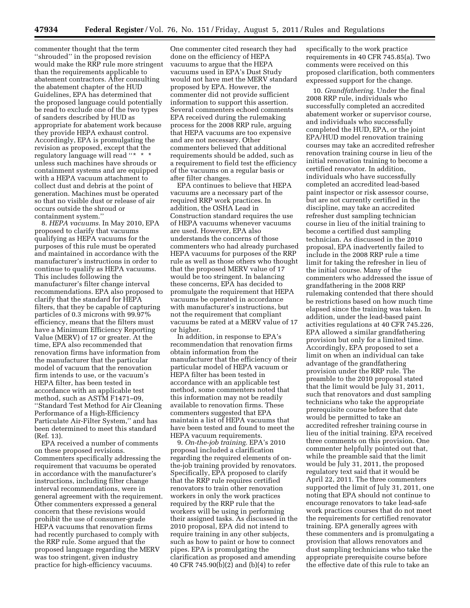commenter thought that the term ''shrouded'' in the proposed revision would make the RRP rule more stringent than the requirements applicable to abatement contractors. After consulting the abatement chapter of the HUD Guidelines, EPA has determined that the proposed language could potentially be read to exclude one of the two types of sanders described by HUD as appropriate for abatement work because they provide HEPA exhaust control. Accordingly, EPA is promulgating the revision as proposed, except that the regulatory language will read "\* \* \* unless such machines have shrouds or containment systems and are equipped with a HEPA vacuum attachment to collect dust and debris at the point of generation. Machines must be operated so that no visible dust or release of air occurs outside the shroud or containment system.''

8. *HEPA vacuums.* In May 2010, EPA proposed to clarify that vacuums qualifying as HEPA vacuums for the purposes of this rule must be operated and maintained in accordance with the manufacturer's instructions in order to continue to qualify as HEPA vacuums. This includes following the manufacturer's filter change interval recommendations. EPA also proposed to clarify that the standard for HEPA filters, that they be capable of capturing particles of 0.3 microns with 99.97% efficiency, means that the filters must have a Minimum Efficiency Reporting Value (MERV) of 17 or greater. At the time, EPA also recommended that renovation firms have information from the manufacturer that the particular model of vacuum that the renovation firm intends to use, or the vacuum's HEPA filter, has been tested in accordance with an applicable test method, such as ASTM F1471–09, ''Standard Test Method for Air Cleaning Performance of a High-Efficiency Particulate Air-Filter System,'' and has been determined to meet this standard (Ref. 13).

EPA received a number of comments on these proposed revisions. Commenters specifically addressing the requirement that vacuums be operated in accordance with the manufacturer's instructions, including filter change interval recommendations, were in general agreement with the requirement. Other commenters expressed a general concern that these revisions would prohibit the use of consumer-grade HEPA vacuums that renovation firms had recently purchased to comply with the RRP rule. Some argued that the proposed language regarding the MERV was too stringent, given industry practice for high-efficiency vacuums.

One commenter cited research they had done on the efficiency of HEPA vacuums to argue that the HEPA vacuums used in EPA's Dust Study would not have met the MERV standard proposed by EPA. However, the commenter did not provide sufficient information to support this assertion. Several commenters echoed comments EPA received during the rulemaking process for the 2008 RRP rule, arguing that HEPA vacuums are too expensive and are not necessary. Other commenters believed that additional requirements should be added, such as a requirement to field test the efficiency of the vacuums on a regular basis or after filter changes.

EPA continues to believe that HEPA vacuums are a necessary part of the required RRP work practices. In addition, the OSHA Lead in Construction standard requires the use of HEPA vacuums whenever vacuums are used. However, EPA also understands the concerns of those commenters who had already purchased HEPA vacuums for purposes of the RRP rule as well as those others who thought that the proposed MERV value of 17 would be too stringent. In balancing these concerns, EPA has decided to promulgate the requirement that HEPA vacuums be operated in accordance with manufacturer's instructions, but not the requirement that compliant vacuums be rated at a MERV value of 17 or higher.

In addition, in response to EPA's recommendation that renovation firms obtain information from the manufacturer that the efficiency of their particular model of HEPA vacuum or HEPA filter has been tested in accordance with an applicable test method, some commenters noted that this information may not be readily available to renovation firms. These commenters suggested that EPA maintain a list of HEPA vacuums that have been tested and found to meet the HEPA vacuum requirements.

9. *On-the-job training.* EPA's 2010 proposal included a clarification regarding the required elements of onthe-job training provided by renovators. Specifically, EPA proposed to clarify that the RRP rule requires certified renovators to train other renovation workers in only the work practices required by the RRP rule that the workers will be using in performing their assigned tasks. As discussed in the 2010 proposal, EPA did not intend to require training in any other subjects, such as how to paint or how to connect pipes. EPA is promulgating the clarification as proposed and amending 40 CFR 745.90(b)(2) and (b)(4) to refer

specifically to the work practice requirements in 40 CFR 745.85(a). Two comments were received on this proposed clarification, both commenters expressed support for the change.

10. *Grandfathering.* Under the final 2008 RRP rule, individuals who successfully completed an accredited abatement worker or supervisor course, and individuals who successfully completed the HUD, EPA, or the joint EPA/HUD model renovation training courses may take an accredited refresher renovation training course in lieu of the initial renovation training to become a certified renovator. In addition, individuals who have successfully completed an accredited lead-based paint inspector or risk assessor course, but are not currently certified in the discipline, may take an accredited refresher dust sampling technician course in lieu of the initial training to become a certified dust sampling technician. As discussed in the 2010 proposal, EPA inadvertently failed to include in the 2008 RRP rule a time limit for taking the refresher in lieu of the initial course. Many of the commenters who addressed the issue of grandfathering in the 2008 RRP rulemaking contended that there should be restrictions based on how much time elapsed since the training was taken. In addition, under the lead-based paint activities regulations at 40 CFR 745.226, EPA allowed a similar grandfathering provision but only for a limited time. Accordingly, EPA proposed to set a limit on when an individual can take advantage of the grandfathering provision under the RRP rule. The preamble to the 2010 proposal stated that the limit would be July 31, 2011, such that renovators and dust sampling technicians who take the appropriate prerequisite course before that date would be permitted to take an accredited refresher training course in lieu of the initial training. EPA received three comments on this provision. One commenter helpfully pointed out that, while the preamble said that the limit would be July 31, 2011, the proposed regulatory text said that it would be April 22, 2011. The three commenters supported the limit of July 31, 2011, one noting that EPA should not continue to encourage renovators to take lead-safe work practices courses that do not meet the requirements for certified renovator training. EPA generally agrees with these commenters and is promulgating a provision that allows renovators and dust sampling technicians who take the appropriate prerequisite course before the effective date of this rule to take an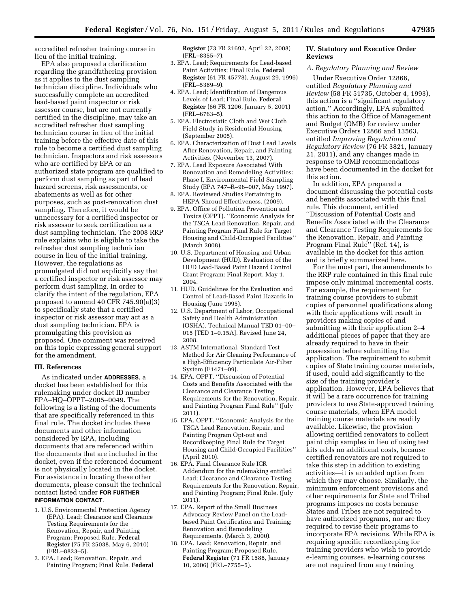accredited refresher training course in lieu of the initial training.

EPA also proposed a clarification regarding the grandfathering provision as it applies to the dust sampling technician discipline. Individuals who successfully complete an accredited lead-based paint inspector or risk assessor course, but are not currently certified in the discipline, may take an accredited refresher dust sampling technician course in lieu of the initial training before the effective date of this rule to become a certified dust sampling technician. Inspectors and risk assessors who are certified by EPA or an authorized state program are qualified to perform dust sampling as part of lead hazard screens, risk assessments, or abatements as well as for other purposes, such as post-renovation dust sampling. Therefore, it would be unnecessary for a certified inspector or risk assessor to seek certification as a dust sampling technician. The 2008 RRP rule explains who is eligible to take the refresher dust sampling technician course in lieu of the initial training. However, the regulations as promulgated did not explicitly say that a certified inspector or risk assessor may perform dust sampling. In order to clarify the intent of the regulation, EPA proposed to amend 40 CFR 745.90(a)(3) to specifically state that a certified inspector or risk assessor may act as a dust sampling technician. EPA is promulgating this provision as proposed. One comment was received on this topic expressing general support for the amendment.

#### **III. References**

As indicated under **ADDRESSES**, a docket has been established for this rulemaking under docket ID number EPA–HQ–OPPT–2005–0049. The following is a listing of the documents that are specifically referenced in this final rule. The docket includes these documents and other information considered by EPA, including documents that are referenced within the documents that are included in the docket, even if the referenced document is not physically located in the docket. For assistance in locating these other documents, please consult the technical contact listed under **FOR FURTHER INFORMATION CONTACT**.

- 1. U.S. Environmental Protection Agency (EPA). Lead; Clearance and Clearance Testing Requirements for the Renovation, Repair, and Painting Program; Proposed Rule. **Federal Register** (75 FR 25038, May 6, 2010) (FRL–8823–5).
- 2. EPA. Lead; Renovation, Repair, and Painting Program; Final Rule. **Federal**

**Register** (73 FR 21692, April 22, 2008) (FRL–8355–7).

- 3. EPA. Lead; Requirements for Lead-based Paint Activities; Final Rule. **Federal Register** (61 FR 45778), August 29, 1996) (FRL–5389–9).
- 4. EPA. Lead; Identification of Dangerous Levels of Lead; Final Rule. **Federal Register** (66 FR 1206, January 5, 2001) (FRL–6763–5).
- 5. EPA. Electrostatic Cloth and Wet Cloth Field Study in Residential Housing (September 2005).
- 6. EPA. Characterization of Dust Lead Levels After Renovation, Repair, and Painting Activities. (November 13, 2007).
- 7. EPA. Lead Exposure Associated With Renovation and Remodeling Activities: Phase I, Environmental Field Sampling Study (EPA 747–R–96–007, May 1997).
- 8. EPA. Reviewed Studies Pertaining to HEPA Shroud Effectiveness. (2009).
- 9. EPA. Office of Pollution Prevention and Toxics (OPPT). ''Economic Analysis for the TSCA Lead Renovation, Repair, and Painting Program Final Rule for Target Housing and Child-Occupied Facilities'' (March 2008).
- 10. U.S. Department of Housing and Urban Development (HUD). Evaluation of the HUD Lead-Based Paint Hazard Control Grant Program: Final Report. May 1, 2004.
- 11. HUD. Guidelines for the Evaluation and Control of Lead-Based Paint Hazards in Housing (June 1995).
- 12. U.S. Department of Labor, Occupational Safety and Health Administration (OSHA). Technical Manual TED 01–00– 015 [TED 1–0.15A]. Revised June 24, 2008.
- 13. ASTM International. Standard Test Method for Air Cleaning Performance of a High-Efficiency Particulate Air-Filter System (F1471–09).
- 14. EPA. OPPT. ''Discussion of Potential Costs and Benefits Associated with the Clearance and Clearance Testing Requirements for the Renovation, Repair, and Painting Program Final Rule'' (July 2011).
- 15. EPA. OPPT. ''Economic Analysis for the TSCA Lead Renovation, Repair, and Painting Program Opt-out and Recordkeeping Final Rule for Target Housing and Child-Occupied Facilities'' (April 2010).
- 16. EPA. Final Clearance Rule ICR Addendum for the rulemaking entitled Lead; Clearance and Clearance Testing Requirements for the Renovation, Repair, and Painting Program; Final Rule. (July 2011).
- 17. EPA. Report of the Small Business Advocacy Review Panel on the Leadbased Paint Certification and Training; Renovation and Remodeling Requirements. (March 3, 2000).
- 18. EPA. Lead; Renovation, Repair, and Painting Program; Proposed Rule. **Federal Register** (71 FR 1588, January 10, 2006) (FRL–7755–5).

# **IV. Statutory and Executive Order Reviews**

#### *A. Regulatory Planning and Review*

Under Executive Order 12866, entitled *Regulatory Planning and Review* (58 FR 51735, October 4, 1993), this action is a ''significant regulatory action.'' Accordingly, EPA submitted this action to the Office of Management and Budget (OMB) for review under Executive Orders 12866 and 13563, entitled *Improving Regulation and Regulatory Review* (76 FR 3821, January 21, 2011), and any changes made in response to OMB recommendations have been documented in the docket for this action.

In addition, EPA prepared a document discussing the potential costs and benefits associated with this final rule. This document, entitled ''Discussion of Potential Costs and Benefits Associated with the Clearance and Clearance Testing Requirements for the Renovation, Repair, and Painting Program Final Rule'' (Ref. 14), is available in the docket for this action and is briefly summarized here.

For the most part, the amendments to the RRP rule contained in this final rule impose only minimal incremental costs. For example, the requirement for training course providers to submit copies of personnel qualifications along with their applications will result in providers making copies of and submitting with their application 2–4 additional pieces of paper that they are already required to have in their possession before submitting the application. The requirement to submit copies of State training course materials, if used, could add significantly to the size of the training provider's application. However, EPA believes that it will be a rare occurrence for training providers to use State-approved training course materials, when EPA model training course materials are readily available. Likewise, the provision allowing certified renovators to collect paint chip samples in lieu of using test kits adds no additional costs, because certified renovators are not required to take this step in addition to existing activities—it is an added option from which they may choose. Similarly, the minimum enforcement provisions and other requirements for State and Tribal programs imposes no costs because States and Tribes are not required to have authorized programs, nor are they required to revise their programs to incorporate EPA revisions. While EPA is requiring specific recordkeeping for training providers who wish to provide e-learning courses, e-learning courses are not required from any training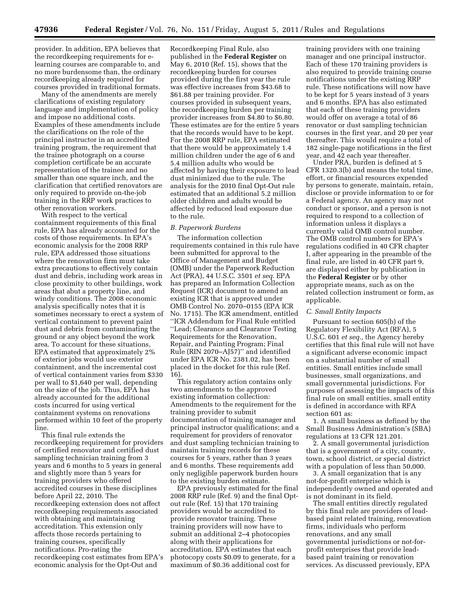provider. In addition, EPA believes that the recordkeeping requirements for elearning courses are comparable to, and no more burdensome than, the ordinary recordkeeping already required for courses provided in traditional formats.

Many of the amendments are merely clarifications of existing regulatory language and implementation of policy and impose no additional costs. Examples of these amendments include the clarifications on the role of the principal instructor in an accredited training program, the requirement that the trainee photograph on a course completion certificate be an accurate representation of the trainee and no smaller than one square inch, and the clarification that certified renovators are only required to provide on-the-job training in the RRP work practices to other renovation workers.

With respect to the vertical containment requirements of this final rule, EPA has already accounted for the costs of those requirements. In EPA's economic analysis for the 2008 RRP rule, EPA addressed those situations where the renovation firm must take extra precautions to effectively contain dust and debris, including work areas in close proximity to other buildings, work areas that abut a property line, and windy conditions. The 2008 economic analysis specifically notes that it is sometimes necessary to erect a system of vertical containment to prevent paint dust and debris from contaminating the ground or any object beyond the work area. To account for these situations, EPA estimated that approximately 2% of exterior jobs would use exterior containment, and the incremental cost of vertical containment varies from \$330 per wall to \$1,640 per wall, depending on the size of the job. Thus, EPA has already accounted for the additional costs incurred for using vertical containment systems on renovations performed within 10 feet of the property line.

This final rule extends the recordkeeping requirement for providers of certified renovator and certified dust sampling technician training from 3 years and 6 months to 5 years in general and slightly more than 5 years for training providers who offered accredited courses in these disciplines before April 22, 2010. The recordkeeping extension does not affect recordkeeping requirements associated with obtaining and maintaining accreditation. This extension only affects those records pertaining to training courses, specifically notifications. Pro-rating the recordkeeping cost estimates from EPA's economic analysis for the Opt-Out and

Recordkeeping Final Rule, also published in the **Federal Register** on May 6, 2010 (Ref. 15), shows that the recordkeeping burden for courses provided during the first year the rule was effective increases from \$43.68 to \$61.88 per training provider. For courses provided in subsequent years, the recordkeeping burden per training provider increases from \$4.80 to \$6.80. These estimates are for the entire 5 years that the records would have to be kept. For the 2008 RRP rule, EPA estimated that there would be approximately 1.4 million children under the age of 6 and 5.4 million adults who would be affected by having their exposure to lead dust minimized due to the rule. The analysis for the 2010 final Opt-Out rule estimated that an additional 5.2 million older children and adults would be affected by reduced lead exposure due to the rule.

# *B. Paperwork Burdens*

The information collection requirements contained in this rule have been submitted for approval to the Office of Management and Budget (OMB) under the Paperwork Reduction Act (PRA), 44 U.S.C. 3501 *et seq.* EPA has prepared an Information Collection Request (ICR) document to amend an existing ICR that is approved under OMB Control No. 2070–0155 (EPA ICR No. 1715). The ICR amendment, entitled ''ICR Addendum for Final Rule entitled ''Lead; Clearance and Clearance Testing Requirements for the Renovation, Repair, and Painting Program; Final Rule (RIN 2070–AJ57)'' and identified under EPA ICR No. 2381.02, has been placed in the docket for this rule (Ref. 16).

This regulatory action contains only two amendments to the approved existing information collection: Amendments to the requirement for the training provider to submit documentation of training manager and principal instructor qualifications; and a requirement for providers of renovator and dust sampling technician training to maintain training records for these courses for 5 years, rather than 3 years and 6 months. These requirements add only negligible paperwork burden hours to the existing burden estimate.

EPA previously estimated for the final 2008 RRP rule (Ref. 9) and the final Optout rule (Ref. 15) that 170 training providers would be accredited to provide renovator training. These training providers will now have to submit an additional 2–4 photocopies along with their applications for accreditation. EPA estimates that each photocopy costs \$0.09 to generate, for a maximum of \$0.36 additional cost for

training providers with one training manager and one principal instructor. Each of these 170 training providers is also required to provide training course notifications under the existing RRP rule. These notifications will now have to be kept for 5 years instead of 3 years and 6 months. EPA has also estimated that each of these training providers would offer on average a total of 86 renovator or dust sampling technician courses in the first year, and 20 per year thereafter. This would require a total of 182 single-page notifications in the first year, and 42 each year thereafter.

Under PRA, burden is defined at 5 CFR 1320.3(b) and means the total time, effort, or financial resources expended by persons to generate, maintain, retain, disclose or provide information to or for a Federal agency. An agency may not conduct or sponsor, and a person is not required to respond to a collection of information unless it displays a currently valid OMB control number. The OMB control numbers for EPA's regulations codified in 40 CFR chapter I, after appearing in the preamble of the final rule, are listed in 40 CFR part 9, are displayed either by publication in the **Federal Register** or by other appropriate means, such as on the related collection instrument or form, as applicable.

#### *C. Small Entity Impacts*

Pursuant to section 605(b) of the Regulatory Flexibility Act (RFA), 5 U.S.C. 601 *et seq.,* the Agency hereby certifies that this final rule will not have a significant adverse economic impact on a substantial number of small entities. Small entities include small businesses, small organizations, and small governmental jurisdictions. For purposes of assessing the impacts of this final rule on small entities, small entity is defined in accordance with RFA section 601 as:

1. A small business as defined by the Small Business Administration's (SBA) regulations at 13 CFR 121.201.

2. A small governmental jurisdiction that is a government of a city, county, town, school district, or special district with a population of less than 50,000.

3. A small organization that is any not-for-profit enterprise which is independently owned and operated and is not dominant in its field.

The small entities directly regulated by this final rule are providers of leadbased paint related training, renovation firms, individuals who perform renovations, and any small governmental jurisdictions or not-forprofit enterprises that provide leadbased paint training or renovation services. As discussed previously, EPA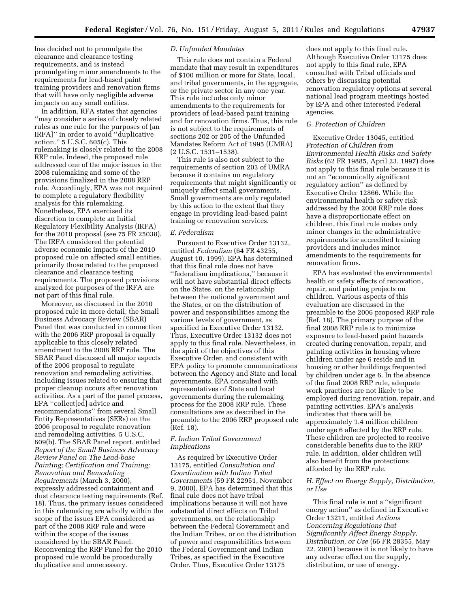has decided not to promulgate the clearance and clearance testing requirements, and is instead promulgating minor amendments to the requirements for lead-based paint training providers and renovation firms that will have only negligible adverse impacts on any small entities.

In addition, RFA states that agencies ''may consider a series of closely related rules as one rule for the purposes of [an IRFA]'' in order to avoid ''duplicative action.'' 5 U.S.C. 605(c). This rulemaking is closely related to the 2008 RRP rule. Indeed, the proposed rule addressed one of the major issues in the 2008 rulemaking and some of the provisions finalized in the 2008 RRP rule. Accordingly, EPA was not required to complete a regulatory flexibility analysis for this rulemaking. Nonetheless, EPA exercised its discretion to complete an Initial Regulatory Flexibility Analysis (IRFA) for the 2010 proposal (see 75 FR 25038). The IRFA considered the potential adverse economic impacts of the 2010 proposed rule on affected small entities, primarily those related to the proposed clearance and clearance testing requirements. The proposed provisions analyzed for purposes of the IRFA are not part of this final rule.

Moreover, as discussed in the 2010 proposed rule in more detail, the Small Business Advocacy Review (SBAR) Panel that was conducted in connection with the 2006 RRP proposal is equally applicable to this closely related amendment to the 2008 RRP rule. The SBAR Panel discussed all major aspects of the 2006 proposal to regulate renovation and remodeling activities, including issues related to ensuring that proper cleanup occurs after renovation activities. As a part of the panel process, EPA ''collect[ed] advice and recommendations'' from several Small Entity Representatives (SERs) on the 2006 proposal to regulate renovation and remodeling activities. 5 U.S.C. 609(b). The SBAR Panel report, entitled *Report of the Small Business Advocacy Review Panel on The Lead-base Painting; Certification and Training; Renovation and Remodeling Requirements* (March 3, 2000), expressly addressed containment and dust clearance testing requirements (Ref. 18). Thus, the primary issues considered in this rulemaking are wholly within the scope of the issues EPA considered as part of the 2008 RRP rule and were within the scope of the issues considered by the SBAR Panel. Reconvening the RRP Panel for the 2010 proposed rule would be procedurally duplicative and unnecessary.

#### *D. Unfunded Mandates*

This rule does not contain a Federal mandate that may result in expenditures of \$100 million or more for State, local, and tribal governments, in the aggregate, or the private sector in any one year. This rule includes only minor amendments to the requirements for providers of lead-based paint training and for renovation firms. Thus, this rule is not subject to the requirements of sections 202 or 205 of the Unfunded Mandates Reform Act of 1995 (UMRA) (2 U.S.C. 1531–1538).

This rule is also not subject to the requirements of section 203 of UMRA because it contains no regulatory requirements that might significantly or uniquely affect small governments. Small governments are only regulated by this action to the extent that they engage in providing lead-based paint training or renovation services.

#### *E. Federalism*

Pursuant to Executive Order 13132, entitled *Federalism* (64 FR 43255, August 10, 1999), EPA has determined that this final rule does not have ''federalism implications,'' because it will not have substantial direct effects on the States, on the relationship between the national government and the States, or on the distribution of power and responsibilities among the various levels of government, as specified in Executive Order 13132. Thus, Executive Order 13132 does not apply to this final rule. Nevertheless, in the spirit of the objectives of this Executive Order, and consistent with EPA policy to promote communications between the Agency and State and local governments, EPA consulted with representatives of State and local governments during the rulemaking process for the 2008 RRP rule. These consultations are as described in the preamble to the 2006 RRP proposed rule (Ref. 18).

#### *F. Indian Tribal Government Implications*

As required by Executive Order 13175, entitled *Consultation and Coordination with Indian Tribal Governments* (59 FR 22951, November 9, 2000), EPA has determined that this final rule does not have tribal implications because it will not have substantial direct effects on Tribal governments, on the relationship between the Federal Government and the Indian Tribes, or on the distribution of power and responsibilities between the Federal Government and Indian Tribes, as specified in the Executive Order. Thus, Executive Order 13175

does not apply to this final rule. Although Executive Order 13175 does not apply to this final rule, EPA consulted with Tribal officials and others by discussing potential renovation regulatory options at several national lead program meetings hosted by EPA and other interested Federal agencies.

# *G. Protection of Children*

Executive Order 13045, entitled *Protection of Children from Environmental Health Risks and Safety Risks* (62 FR 19885, April 23, 1997) does not apply to this final rule because it is not an ''economically significant regulatory action'' as defined by Executive Order 12866. While the environmental health or safety risk addressed by the 2008 RRP rule does have a disproportionate effect on children, this final rule makes only minor changes in the administrative requirements for accredited training providers and includes minor amendments to the requirements for renovation firms.

EPA has evaluated the environmental health or safety effects of renovation, repair, and painting projects on children. Various aspects of this evaluation are discussed in the preamble to the 2006 proposed RRP rule (Ref. 18). The primary purpose of the final 2008 RRP rule is to minimize exposure to lead-based paint hazards created during renovation, repair, and painting activities in housing where children under age 6 reside and in housing or other buildings frequented by children under age 6. In the absence of the final 2008 RRP rule, adequate work practices are not likely to be employed during renovation, repair, and painting activities. EPA's analysis indicates that there will be approximately 1.4 million children under age 6 affected by the RRP rule. These children are projected to receive considerable benefits due to the RRP rule. In addition, older children will also benefit from the protections afforded by the RRP rule.

#### *H. Effect on Energy Supply, Distribution, or Use*

This final rule is not a ''significant energy action'' as defined in Executive Order 13211, entitled *Actions Concerning Regulations that Significantly Affect Energy Supply, Distribution, or Use* (66 FR 28355, May 22, 2001) because it is not likely to have any adverse effect on the supply, distribution, or use of energy.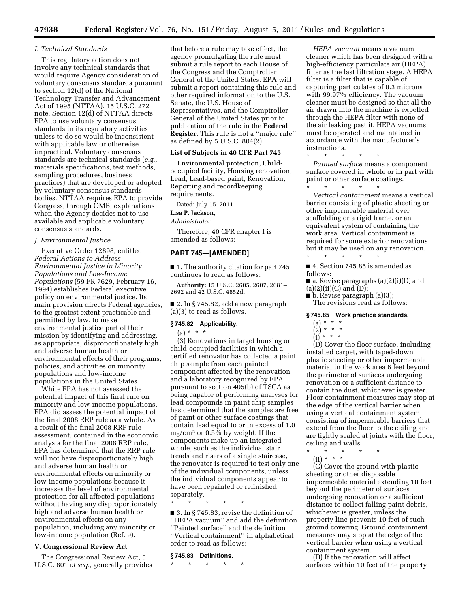#### *I. Technical Standards*

This regulatory action does not involve any technical standards that would require Agency consideration of voluntary consensus standards pursuant to section 12(d) of the National Technology Transfer and Advancement Act of 1995 (NTTAA), 15 U.S.C. 272 note. Section 12(d) of NTTAA directs EPA to use voluntary consensus standards in its regulatory activities unless to do so would be inconsistent with applicable law or otherwise impractical. Voluntary consensus standards are technical standards (*e.g.,*  materials specifications, test methods, sampling procedures, business practices) that are developed or adopted by voluntary consensus standards bodies. NTTAA requires EPA to provide Congress, through OMB, explanations when the Agency decides not to use available and applicable voluntary consensus standards.

# *J. Environmental Justice*

Executive Order 12898, entitled *Federal Actions to Address Environmental Justice in Minority Populations and Low-Income Populations* (59 FR 7629, February 16, 1994) establishes Federal executive policy on environmental justice. Its main provision directs Federal agencies, to the greatest extent practicable and permitted by law, to make environmental justice part of their mission by identifying and addressing, as appropriate, disproportionately high and adverse human health or environmental effects of their programs, policies, and activities on minority populations and low-income populations in the United States.

While EPA has not assessed the potential impact of this final rule on minority and low-income populations, EPA did assess the potential impact of the final 2008 RRP rule as a whole. As a result of the final 2008 RRP rule assessment, contained in the economic analysis for the final 2008 RRP rule, EPA has determined that the RRP rule will not have disproportionately high and adverse human health or environmental effects on minority or low-income populations because it increases the level of environmental protection for all affected populations without having any disproportionately high and adverse human health or environmental effects on any population, including any minority or low-income population (Ref. 9).

# **V. Congressional Review Act**

The Congressional Review Act, 5 U.S.C. 801 *et seq.,* generally provides

that before a rule may take effect, the agency promulgating the rule must submit a rule report to each House of the Congress and the Comptroller General of the United States. EPA will submit a report containing this rule and other required information to the U.S. Senate, the U.S. House of Representatives, and the Comptroller General of the United States prior to publication of the rule in the **Federal Register**. This rule is not a ''major rule'' as defined by 5 U.S.C. 804(2).

## **List of Subjects in 40 CFR Part 745**

Environmental protection, Childoccupied facility, Housing renovation, Lead, Lead-based paint, Renovation, Reporting and recordkeeping requirements.

Dated: July 15, 2011.

**Lisa P. Jackson,** 

*Administrator.* 

Therefore, 40 CFR chapter I is amended as follows:

# **PART 745—[AMENDED]**

■ 1. The authority citation for part 745 continues to read as follows:

**Authority:** 15 U.S.C. 2605, 2607, 2681– 2692 and 42 U.S.C. 4852d.

 $\blacksquare$  2. In § 745.82, add a new paragraph (a)(3) to read as follows.

# **§ 745.82 Applicability.**

(a) \* \* \*

(3) Renovations in target housing or child-occupied facilities in which a certified renovator has collected a paint chip sample from each painted component affected by the renovation and a laboratory recognized by EPA pursuant to section 405(b) of TSCA as being capable of performing analyses for lead compounds in paint chip samples has determined that the samples are free of paint or other surface coatings that contain lead equal to or in excess of 1.0 mg/cm2 or 0.5% by weight. If the components make up an integrated whole, such as the individual stair treads and risers of a single staircase, the renovator is required to test only one of the individual components, unless the individual components appear to have been repainted or refinished separately.

\* \* \* \* \*

■ 3. In § 745.83, revise the definition of ''HEPA vacuum'' and add the definition ''Painted surface'' and the definition ''Vertical containment'' in alphabetical order to read as follows:

#### **§ 745.83 Definitions.**

\* \* \* \* \*

*HEPA vacuum* means a vacuum cleaner which has been designed with a high-efficiency particulate air (HEPA) filter as the last filtration stage. A HEPA filter is a filter that is capable of capturing particulates of 0.3 microns with 99.97% efficiency. The vacuum cleaner must be designed so that all the air drawn into the machine is expelled through the HEPA filter with none of the air leaking past it. HEPA vacuums must be operated and maintained in accordance with the manufacturer's instructions.

\* \* \* \* \* *Painted surface* means a component surface covered in whole or in part with paint or other surface coatings.

\* \* \* \* \* *Vertical containment* means a vertical barrier consisting of plastic sheeting or other impermeable material over scaffolding or a rigid frame, or an equivalent system of containing the work area. Vertical containment is required for some exterior renovations but it may be used on any renovation. \* \* \* \* \*

■ 4. Section 745.85 is amended as follows:

■ a. Revise paragraphs (a)(2)(i)(D) and  $(a)(2)(ii)(C)$  and  $(D);$ 

 $\blacksquare$  b. Revise paragraph (a)(3);

The revisions read as follows:

#### **§ 745.85 Work practice standards.**

- (a) \* \* \*  $(2) * * * *$
- $(i)$  \* \* \*

(D) Cover the floor surface, including installed carpet, with taped-down plastic sheeting or other impermeable material in the work area 6 feet beyond the perimeter of surfaces undergoing renovation or a sufficient distance to contain the dust, whichever is greater. Floor containment measures may stop at the edge of the vertical barrier when using a vertical containment system consisting of impermeable barriers that extend from the floor to the ceiling and are tightly sealed at joints with the floor, ceiling and walls.

\* \* \* \* \* (ii) \* \* \*

(C) Cover the ground with plastic sheeting or other disposable impermeable material extending 10 feet beyond the perimeter of surfaces undergoing renovation or a sufficient distance to collect falling paint debris, whichever is greater, unless the property line prevents 10 feet of such ground covering. Ground containment measures may stop at the edge of the vertical barrier when using a vertical containment system.

(D) If the renovation will affect surfaces within 10 feet of the property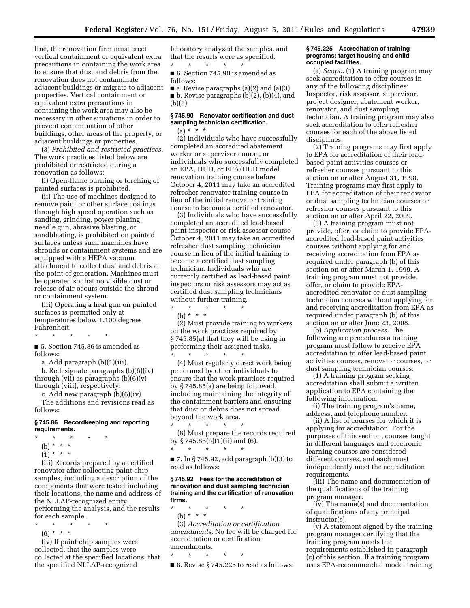line, the renovation firm must erect vertical containment or equivalent extra precautions in containing the work area to ensure that dust and debris from the renovation does not contaminate adjacent buildings or migrate to adjacent properties. Vertical containment or equivalent extra precautions in containing the work area may also be necessary in other situations in order to prevent contamination of other buildings, other areas of the property, or adjacent buildings or properties.

(3) *Prohibited and restricted practices.*  The work practices listed below are prohibited or restricted during a renovation as follows:

(i) Open-flame burning or torching of painted surfaces is prohibited.

(ii) The use of machines designed to remove paint or other surface coatings through high speed operation such as sanding, grinding, power planing, needle gun, abrasive blasting, or sandblasting, is prohibited on painted surfaces unless such machines have shrouds or containment systems and are equipped with a HEPA vacuum attachment to collect dust and debris at the point of generation. Machines must be operated so that no visible dust or release of air occurs outside the shroud or containment system.

(iii) Operating a heat gun on painted surfaces is permitted only at temperatures below 1,100 degrees Fahrenheit.

\* \* \* \* \* ■ 5. Section 745.86 is amended as follows:

a. Add paragraph (b)(1)(iii).

b. Redesignate paragraphs (b)(6)(iv) through (vii) as paragraphs  $(b)(6)(v)$ through (viii), respectively.

c. Add new paragraph (b)(6)(iv). The additions and revisions read as follows:

# **§ 745.86 Recordkeeping and reporting requirements.**

- \* \* \* \* \*
- (b) \* \* \*
- $(1) * * * *$

(iii) Records prepared by a certified renovator after collecting paint chip samples, including a description of the components that were tested including their locations, the name and address of the NLLAP-recognized entity performing the analysis, and the results for each sample.

- \* \* \* \* \*
	- $(6) * * * *$

(iv) If paint chip samples were collected, that the samples were collected at the specified locations, that the specified NLLAP-recognized

laboratory analyzed the samples, and that the results were as specified. \* \* \* \* \*

■ 6. Section 745.90 is amended as follows:

 $\blacksquare$  a. Revise paragraphs (a)(2) and (a)(3). ■ b. Revise paragraphs (b)(2), (b)(4), and (b)(8).

# **§ 745.90 Renovator certification and dust sampling technician certification.**

 $(a) * * * *$ 

(2) Individuals who have successfully completed an accredited abatement worker or supervisor course, or individuals who successfully completed an EPA, HUD, or EPA/HUD model renovation training course before October 4, 2011 may take an accredited refresher renovator training course in lieu of the initial renovator training course to become a certified renovator.

(3) Individuals who have successfully completed an accredited lead-based paint inspector or risk assessor course October 4, 2011 may take an accredited refresher dust sampling technician course in lieu of the initial training to become a certified dust sampling technician. Individuals who are currently certified as lead-based paint inspectors or risk assessors may act as certified dust sampling technicians without further training.

\* \* \* \* \* (b) \* \* \*

(2) Must provide training to workers on the work practices required by § 745.85(a) that they will be using in performing their assigned tasks. \* \* \* \* \*

(4) Must regularly direct work being performed by other individuals to ensure that the work practices required by § 745.85(a) are being followed, including maintaining the integrity of the containment barriers and ensuring that dust or debris does not spread beyond the work area.

\* \* \* \* \* (8) Must prepare the records required by § 745.86(b)(1)(ii) and (6).

■ 7. In § 745.92, add paragraph (b)(3) to read as follows:

#### **§ 745.92 Fees for the accreditation of renovation and dust sampling technician training and the certification of renovation firms.**

\* \* \* \* \* (b) \* \* \* (3) *Accreditation or certification* 

\* \* \* \* \*

*amendments.* No fee will be charged for accreditation or certification amendments.

\* \* \* \* \*  $\blacksquare$  8. Revise § 745.225 to read as follows:

#### **§ 745.225 Accreditation of training programs: target housing and child occupied facilities.**

(a) *Scope.* (1) A training program may seek accreditation to offer courses in any of the following disciplines: Inspector, risk assessor, supervisor, project designer, abatement worker, renovator, and dust sampling technician. A training program may also seek accreditation to offer refresher courses for each of the above listed disciplines.

(2) Training programs may first apply to EPA for accreditation of their leadbased paint activities courses or refresher courses pursuant to this section on or after August 31, 1998. Training programs may first apply to EPA for accreditation of their renovator or dust sampling technician courses or refresher courses pursuant to this section on or after April 22, 2009.

(3) A training program must not provide, offer, or claim to provide EPAaccredited lead-based paint activities courses without applying for and receiving accreditation from EPA as required under paragraph (b) of this section on or after March 1, 1999. A training program must not provide, offer, or claim to provide EPAaccredited renovator or dust sampling technician courses without applying for and receiving accreditation from EPA as required under paragraph (b) of this section on or after June 23, 2008.

(b) *Application process.* The following are procedures a training program must follow to receive EPA accreditation to offer lead-based paint activities courses, renovator courses, or dust sampling technician courses:

(1) A training program seeking accreditation shall submit a written application to EPA containing the following information:

(i) The training program's name, address, and telephone number.

(ii) A list of courses for which it is applying for accreditation. For the purposes of this section, courses taught in different languages and electronic learning courses are considered different courses, and each must independently meet the accreditation requirements.

(iii) The name and documentation of the qualifications of the training program manager.

(iv) The name(s) and documentation of qualifications of any principal instructor(s).

(v) A statement signed by the training program manager certifying that the training program meets the requirements established in paragraph (c) of this section. If a training program uses EPA-recommended model training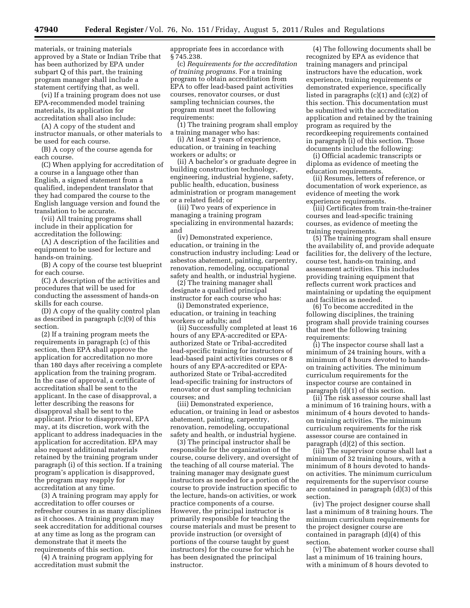materials, or training materials approved by a State or Indian Tribe that has been authorized by EPA under subpart Q of this part, the training program manager shall include a statement certifying that, as well.

(vi) If a training program does not use EPA-recommended model training materials, its application for accreditation shall also include:

(A) A copy of the student and instructor manuals, or other materials to be used for each course.

(B) A copy of the course agenda for each course.

(C) When applying for accreditation of a course in a language other than English, a signed statement from a qualified, independent translator that they had compared the course to the English language version and found the translation to be accurate.

(vii) All training programs shall include in their application for accreditation the following:

(A) A description of the facilities and equipment to be used for lecture and hands-on training.

(B) A copy of the course test blueprint for each course.

(C) A description of the activities and procedures that will be used for conducting the assessment of hands-on skills for each course.

(D) A copy of the quality control plan as described in paragraph (c)(9) of this section.

(2) If a training program meets the requirements in paragraph (c) of this section, then EPA shall approve the application for accreditation no more than 180 days after receiving a complete application from the training program. In the case of approval, a certificate of accreditation shall be sent to the applicant. In the case of disapproval, a letter describing the reasons for disapproval shall be sent to the applicant. Prior to disapproval, EPA may, at its discretion, work with the applicant to address inadequacies in the application for accreditation. EPA may also request additional materials retained by the training program under paragraph (i) of this section. If a training program's application is disapproved, the program may reapply for accreditation at any time.

(3) A training program may apply for accreditation to offer courses or refresher courses in as many disciplines as it chooses. A training program may seek accreditation for additional courses at any time as long as the program can demonstrate that it meets the requirements of this section.

(4) A training program applying for accreditation must submit the

appropriate fees in accordance with § 745.238.

(c) *Requirements for the accreditation of training programs.* For a training program to obtain accreditation from EPA to offer lead-based paint activities courses, renovator courses, or dust sampling technician courses, the program must meet the following requirements:

(1) The training program shall employ a training manager who has:

(i) At least 2 years of experience, education, or training in teaching workers or adults; or

(ii) A bachelor's or graduate degree in building construction technology, engineering, industrial hygiene, safety, public health, education, business administration or program management or a related field; or

(iii) Two years of experience in managing a training program specializing in environmental hazards; and

(iv) Demonstrated experience, education, or training in the construction industry including: Lead or asbestos abatement, painting, carpentry, renovation, remodeling, occupational safety and health, or industrial hygiene.

(2) The training manager shall designate a qualified principal instructor for each course who has:

(i) Demonstrated experience, education, or training in teaching workers or adults; and

(ii) Successfully completed at least 16 hours of any EPA-accredited or EPAauthorized State or Tribal-accredited lead-specific training for instructors of lead-based paint activities courses or 8 hours of any EPA-accredited or EPAauthorized State or Tribal-accredited lead-specific training for instructors of renovator or dust sampling technician courses; and

(iii) Demonstrated experience, education, or training in lead or asbestos abatement, painting, carpentry, renovation, remodeling, occupational safety and health, or industrial hygiene.

(3) The principal instructor shall be responsible for the organization of the course, course delivery, and oversight of the teaching of all course material. The training manager may designate guest instructors as needed for a portion of the course to provide instruction specific to the lecture, hands-on activities, or work practice components of a course. However, the principal instructor is primarily responsible for teaching the course materials and must be present to provide instruction (or oversight of portions of the course taught by guest instructors) for the course for which he has been designated the principal instructor.

(4) The following documents shall be recognized by EPA as evidence that training managers and principal instructors have the education, work experience, training requirements or demonstrated experience, specifically listed in paragraphs (c)(1) and (c)(2) of this section. This documentation must be submitted with the accreditation application and retained by the training program as required by the recordkeeping requirements contained in paragraph (i) of this section. Those documents include the following:

(i) Official academic transcripts or diploma as evidence of meeting the education requirements.

(ii) Resumes, letters of reference, or documentation of work experience, as evidence of meeting the work experience requirements.

(iii) Certificates from train-the-trainer courses and lead-specific training courses, as evidence of meeting the training requirements.

(5) The training program shall ensure the availability of, and provide adequate facilities for, the delivery of the lecture, course test, hands-on training, and assessment activities. This includes providing training equipment that reflects current work practices and maintaining or updating the equipment and facilities as needed.

(6) To become accredited in the following disciplines, the training program shall provide training courses that meet the following training requirements:

(i) The inspector course shall last a minimum of 24 training hours, with a minimum of 8 hours devoted to handson training activities. The minimum curriculum requirements for the inspector course are contained in paragraph (d)(1) of this section.

(ii) The risk assessor course shall last a minimum of 16 training hours, with a minimum of 4 hours devoted to handson training activities. The minimum curriculum requirements for the risk assessor course are contained in paragraph (d)(2) of this section.

(iii) The supervisor course shall last a minimum of 32 training hours, with a minimum of 8 hours devoted to handson activities. The minimum curriculum requirements for the supervisor course are contained in paragraph (d)(3) of this section.

(iv) The project designer course shall last a minimum of 8 training hours. The minimum curriculum requirements for the project designer course are contained in paragraph (d)(4) of this section.

(v) The abatement worker course shall last a minimum of 16 training hours, with a minimum of 8 hours devoted to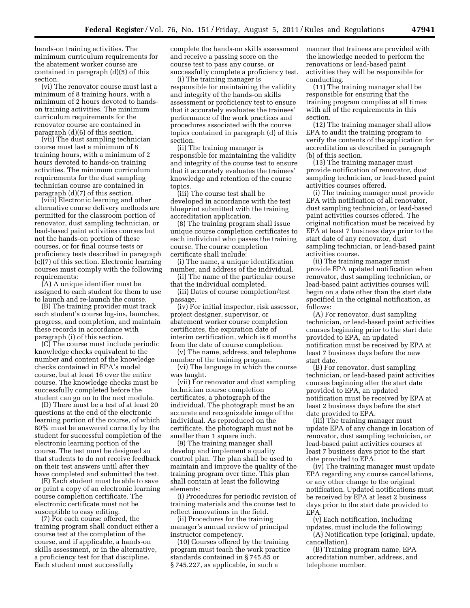hands-on training activities. The minimum curriculum requirements for the abatement worker course are contained in paragraph (d)(5) of this section.

(vi) The renovator course must last a minimum of 8 training hours, with a minimum of 2 hours devoted to handson training activities. The minimum curriculum requirements for the renovator course are contained in paragraph (d)(6) of this section.

(vii) The dust sampling technician course must last a minimum of 8 training hours, with a minimum of 2 hours devoted to hands-on training activities. The minimum curriculum requirements for the dust sampling technician course are contained in paragraph (d)(7) of this section.

(viii) Electronic learning and other alternative course delivery methods are permitted for the classroom portion of renovator, dust sampling technician, or lead-based paint activities courses but not the hands-on portion of these courses, or for final course tests or proficiency tests described in paragraph (c)(7) of this section. Electronic learning courses must comply with the following requirements:

(A) A unique identifier must be assigned to each student for them to use to launch and re-launch the course.

(B) The training provider must track each student's course log-ins, launches, progress, and completion, and maintain these records in accordance with paragraph (i) of this section.

(C) The course must include periodic knowledge checks equivalent to the number and content of the knowledge checks contained in EPA's model course, but at least 16 over the entire course. The knowledge checks must be successfully completed before the student can go on to the next module.

(D) There must be a test of at least 20 questions at the end of the electronic learning portion of the course, of which 80% must be answered correctly by the student for successful completion of the electronic learning portion of the course. The test must be designed so that students to do not receive feedback on their test answers until after they have completed and submitted the test.

(E) Each student must be able to save or print a copy of an electronic learning course completion certificate. The electronic certificate must not be susceptible to easy editing.

(7) For each course offered, the training program shall conduct either a course test at the completion of the course, and if applicable, a hands-on skills assessment, or in the alternative, a proficiency test for that discipline. Each student must successfully

complete the hands-on skills assessment and receive a passing score on the course test to pass any course, or successfully complete a proficiency test.

(i) The training manager is responsible for maintaining the validity and integrity of the hands-on skills assessment or proficiency test to ensure that it accurately evaluates the trainees' performance of the work practices and procedures associated with the course topics contained in paragraph (d) of this section.

(ii) The training manager is responsible for maintaining the validity and integrity of the course test to ensure that it accurately evaluates the trainees' knowledge and retention of the course topics.

(iii) The course test shall be developed in accordance with the test blueprint submitted with the training accreditation application.

(8) The training program shall issue unique course completion certificates to each individual who passes the training course. The course completion certificate shall include:

(i) The name, a unique identification number, and address of the individual.

(ii) The name of the particular course that the individual completed.

(iii) Dates of course completion/test passage.

(iv) For initial inspector, risk assessor, project designer, supervisor, or abatement worker course completion certificates, the expiration date of interim certification, which is 6 months from the date of course completion.

(v) The name, address, and telephone number of the training program.

(vi) The language in which the course was taught.

(vii) For renovator and dust sampling technician course completion certificates, a photograph of the individual. The photograph must be an accurate and recognizable image of the individual. As reproduced on the certificate, the photograph must not be smaller than 1 square inch.

(9) The training manager shall develop and implement a quality control plan. The plan shall be used to maintain and improve the quality of the training program over time. This plan shall contain at least the following elements:

(i) Procedures for periodic revision of training materials and the course test to reflect innovations in the field.

(ii) Procedures for the training manager's annual review of principal instructor competency.

(10) Courses offered by the training program must teach the work practice standards contained in § 745.85 or § 745.227, as applicable, in such a

manner that trainees are provided with the knowledge needed to perform the renovations or lead-based paint activities they will be responsible for conducting.

(11) The training manager shall be responsible for ensuring that the training program complies at all times with all of the requirements in this section.

(12) The training manager shall allow EPA to audit the training program to verify the contents of the application for accreditation as described in paragraph (b) of this section.

(13) The training manager must provide notification of renovator, dust sampling technician, or lead-based paint activities courses offered.

(i) The training manager must provide EPA with notification of all renovator, dust sampling technician, or lead-based paint activities courses offered. The original notification must be received by EPA at least 7 business days prior to the start date of any renovator, dust sampling technician, or lead-based paint activities course.

(ii) The training manager must provide EPA updated notification when renovator, dust sampling technician, or lead-based paint activities courses will begin on a date other than the start date specified in the original notification, as follows:

(A) For renovator, dust sampling technician, or lead-based paint activities courses beginning prior to the start date provided to EPA, an updated notification must be received by EPA at least 7 business days before the new start date.

(B) For renovator, dust sampling technician, or lead-based paint activities courses beginning after the start date provided to EPA, an updated notification must be received by EPA at least 2 business days before the start date provided to EPA.

(iii) The training manager must update EPA of any change in location of renovator, dust sampling technician, or lead-based paint activities courses at least 7 business days prior to the start date provided to EPA.

(iv) The training manager must update EPA regarding any course cancellations, or any other change to the original notification. Updated notifications must be received by EPA at least 2 business days prior to the start date provided to EPA.

(v) Each notification, including updates, must include the following: (A) Notification type (original, update, cancellation).

(B) Training program name, EPA accreditation number, address, and telephone number.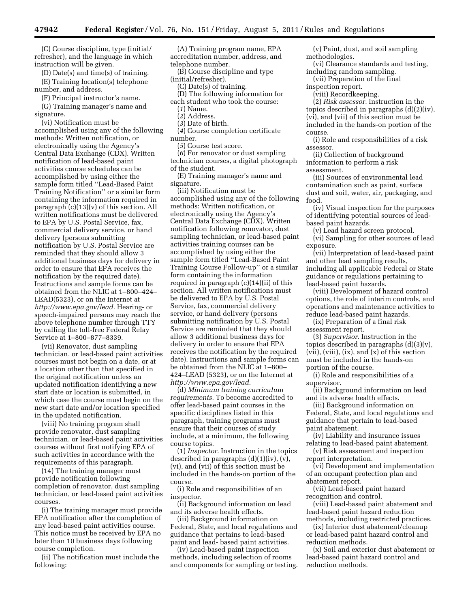(C) Course discipline, type (initial/ refresher), and the language in which instruction will be given.

(D) Date(s) and time(s) of training. (E) Training location(s) telephone number, and address.

(F) Principal instructor's name.

(G) Training manager's name and signature.

(vi) Notification must be accomplished using any of the following methods: Written notification, or electronically using the Agency's Central Data Exchange (CDX). Written notification of lead-based paint activities course schedules can be accomplished by using either the sample form titled ''Lead-Based Paint Training Notification'' or a similar form containing the information required in paragraph (c)(13)(v) of this section. All written notifications must be delivered to EPA by U.S. Postal Service, fax, commercial delivery service, or hand delivery (persons submitting notification by U.S. Postal Service are reminded that they should allow 3 additional business days for delivery in order to ensure that EPA receives the notification by the required date). Instructions and sample forms can be obtained from the NLIC at 1–800–424– LEAD(5323), or on the Internet at *[http://www.epa.gov/lead.](http://www.epa.gov/lead)* Hearing- or speech-impaired persons may reach the above telephone number through TTY by calling the toll-free Federal Relay Service at 1–800–877–8339.

(vii) Renovator, dust sampling technician, or lead-based paint activities courses must not begin on a date, or at a location other than that specified in the original notification unless an updated notification identifying a new start date or location is submitted, in which case the course must begin on the new start date and/or location specified in the updated notification.

(viii) No training program shall provide renovator, dust sampling technician, or lead-based paint activities courses without first notifying EPA of such activities in accordance with the requirements of this paragraph.

(14) The training manager must provide notification following completion of renovator, dust sampling technician, or lead-based paint activities courses.

(i) The training manager must provide EPA notification after the completion of any lead-based paint activities course. This notice must be received by EPA no later than 10 business days following course completion.

(ii) The notification must include the following:

(A) Training program name, EPA accreditation number, address, and telephone number.

(B) Course discipline and type (initial/refresher).

(C) Date(s) of training.

(D) The following information for each student who took the course:

- (*1*) Name.
- (*2*) Address.
- (*3*) Date of birth.
- (*4*) Course completion certificate number.

(*5*) Course test score.

(*6*) For renovator or dust sampling technician courses, a digital photograph of the student.

(E) Training manager's name and signature.

(iii) Notification must be accomplished using any of the following methods: Written notification, or electronically using the Agency's Central Data Exchange (CDX). Written notification following renovator, dust sampling technician, or lead-based paint activities training courses can be accomplished by using either the sample form titled ''Lead-Based Paint Training Course Follow-up'' or a similar form containing the information required in paragraph (c)(14)(ii) of this section. All written notifications must be delivered to EPA by U.S. Postal Service, fax, commercial delivery service, or hand delivery (persons submitting notification by U.S. Postal Service are reminded that they should allow 3 additional business days for delivery in order to ensure that EPA receives the notification by the required date). Instructions and sample forms can be obtained from the NLIC at 1–800– 424–LEAD (5323), or on the Internet at *[http://www.epa.gov/lead.](http://www.epa.gov/lead)* 

(d) *Minimum training curriculum requirements.* To become accredited to offer lead-based paint courses in the specific disciplines listed in this paragraph, training programs must ensure that their courses of study include, at a minimum, the following course topics.

(1) *Inspector.* Instruction in the topics described in paragraphs (d)(1)(iv), (v), (vi), and (vii) of this section must be included in the hands-on portion of the course.

(i) Role and responsibilities of an inspector.

(ii) Background information on lead and its adverse health effects.

(iii) Background information on Federal, State, and local regulations and guidance that pertains to lead-based paint and lead- based paint activities.

(iv) Lead-based paint inspection methods, including selection of rooms and components for sampling or testing.

(v) Paint, dust, and soil sampling methodologies.

(vi) Clearance standards and testing, including random sampling.

- (vii) Preparation of the final inspection report.
	- (viii) Recordkeeping.

(2) *Risk assessor.* Instruction in the topics described in paragraphs (d)(2)(iv), (vi), and (vii) of this section must be included in the hands-on portion of the course.

(i) Role and responsibilities of a risk assessor.

(ii) Collection of background information to perform a risk assessment.

(iii) Sources of environmental lead contamination such as paint, surface dust and soil, water, air, packaging, and food.

(iv) Visual inspection for the purposes of identifying potential sources of leadbased paint hazards.

(v) Lead hazard screen protocol.

(vi) Sampling for other sources of lead exposure.

(vii) Interpretation of lead-based paint and other lead sampling results, including all applicable Federal or State guidance or regulations pertaining to lead-based paint hazards.

(viii) Development of hazard control options, the role of interim controls, and operations and maintenance activities to reduce lead-based paint hazards.

(ix) Preparation of a final risk assessment report.

(3) *Supervisor.* Instruction in the topics described in paragraphs  $(d)(3)(v)$ , (vii), (viii), (ix), and (x) of this section must be included in the hands-on portion of the course.

(i) Role and responsibilities of a supervisor.

(ii) Background information on lead and its adverse health effects.

(iii) Background information on Federal, State, and local regulations and guidance that pertain to lead-based paint abatement.

(iv) Liability and insurance issues relating to lead-based paint abatement.

(v) Risk assessment and inspection report interpretation.

(vi) Development and implementation of an occupant protection plan and abatement report.

(vii) Lead-based paint hazard recognition and control.

(viii) Lead-based paint abatement and lead-based paint hazard reduction methods, including restricted practices.

(ix) Interior dust abatement/cleanup or lead-based paint hazard control and reduction methods.

(x) Soil and exterior dust abatement or lead-based paint hazard control and reduction methods.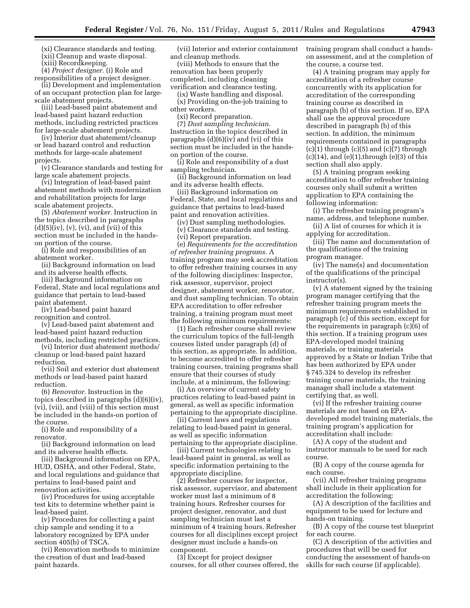(xi) Clearance standards and testing. (xii) Cleanup and waste disposal. (xiii) Recordkeeping.

(4) *Project designer.* (i) Role and responsibilities of a project designer.

(ii) Development and implementation of an occupant protection plan for largescale abatement projects.

(iii) Lead-based paint abatement and lead-based paint hazard reduction methods, including restricted practices for large-scale abatement projects.

(iv) Interior dust abatement/cleanup or lead hazard control and reduction methods for large-scale abatement projects.

(v) Clearance standards and testing for large scale abatement projects.

(vi) Integration of lead-based paint abatement methods with modernization and rehabilitation projects for large scale abatement projects.

(5) *Abatement worker.* Instruction in the topics described in paragraphs  $(d)(5)(iv)$ ,  $(v)$ ,  $(vi)$ , and  $(vii)$  of this section must be included in the handson portion of the course.

(i) Role and responsibilities of an abatement worker.

(ii) Background information on lead and its adverse health effects.

(iii) Background information on Federal, State and local regulations and guidance that pertain to lead-based paint abatement.

(iv) Lead-based paint hazard recognition and control.

(v) Lead-based paint abatement and lead-based paint hazard reduction methods, including restricted practices.

(vi) Interior dust abatement methods/ cleanup or lead-based paint hazard reduction.

(vii) Soil and exterior dust abatement methods or lead-based paint hazard reduction.

(6) *Renovator.* Instruction in the topics described in paragraphs (d)(6)(iv), (vi), (vii), and (viii) of this section must be included in the hands-on portion of the course.

(i) Role and responsibility of a renovator.

(ii) Background information on lead and its adverse health effects.

(iii) Background information on EPA, HUD, OSHA, and other Federal, State, and local regulations and guidance that pertains to lead-based paint and renovation activities.

(iv) Procedures for using acceptable test kits to determine whether paint is lead-based paint.

(v) Procedures for collecting a paint chip sample and sending it to a laboratory recognized by EPA under section 405(b) of TSCA.

(vi) Renovation methods to minimize the creation of dust and lead-based paint hazards.

(vii) Interior and exterior containment and cleanup methods.

(viii) Methods to ensure that the renovation has been properly completed, including cleaning verification and clearance testing.

(ix) Waste handling and disposal. (x) Providing on-the-job training to other workers.

(xi) Record preparation.

(7) *Dust sampling technician.*  Instruction in the topics described in paragraphs (d)(6)(iv) and (vi) of this section must be included in the handson portion of the course.

(i) Role and responsibility of a dust sampling technician.

(ii) Background information on lead and its adverse health effects.

(iii) Background information on Federal, State, and local regulations and guidance that pertains to lead-based paint and renovation activities.

(iv) Dust sampling methodologies. (v) Clearance standards and testing.

(vi) Report preparation.

(e) *Requirements for the accreditation of refresher training programs.* A training program may seek accreditation to offer refresher training courses in any

of the following disciplines: Inspector, risk assessor, supervisor, project designer, abatement worker, renovator, and dust sampling technician. To obtain EPA accreditation to offer refresher training, a training program must meet the following minimum requirements:

(1) Each refresher course shall review the curriculum topics of the full-length courses listed under paragraph (d) of this section, as appropriate. In addition, to become accredited to offer refresher training courses, training programs shall ensure that their courses of study include, at a minimum, the following:

(i) An overview of current safety practices relating to lead-based paint in general, as well as specific information pertaining to the appropriate discipline.

(ii) Current laws and regulations relating to lead-based paint in general, as well as specific information pertaining to the appropriate discipline.

(iii) Current technologies relating to lead-based paint in general, as well as specific information pertaining to the appropriate discipline.

(2) Refresher courses for inspector, risk assessor, supervisor, and abatement worker must last a minimum of 8 training hours. Refresher courses for project designer, renovator, and dust sampling technician must last a minimum of 4 training hours. Refresher courses for all disciplines except project designer must include a hands-on component.

(3) Except for project designer courses, for all other courses offered, the training program shall conduct a handson assessment, and at the completion of the course, a course test.

(4) A training program may apply for accreditation of a refresher course concurrently with its application for accreditation of the corresponding training course as described in paragraph (b) of this section. If so, EPA shall use the approval procedure described in paragraph (b) of this section. In addition, the minimum requirements contained in paragraphs  $(c)(1)$  through  $(c)(5)$  and  $(c)(7)$  through  $(c)(14)$ , and  $(e)(1)$ , through  $(e)(3)$  of this section shall also apply.

(5) A training program seeking accreditation to offer refresher training courses only shall submit a written application to EPA containing the following information:

(i) The refresher training program's name, address, and telephone number.

(ii) A list of courses for which it is applying for accreditation.

(iii) The name and documentation of the qualifications of the training program manager.

(iv) The name(s) and documentation of the qualifications of the principal instructor(s).

(v) A statement signed by the training program manager certifying that the refresher training program meets the minimum requirements established in paragraph (c) of this section, except for the requirements in paragraph (c)(6) of this section. If a training program uses EPA-developed model training materials, or training materials approved by a State or Indian Tribe that has been authorized by EPA under § 745.324 to develop its refresher training course materials, the training manager shall include a statement certifying that, as well.

(vi) If the refresher training course materials are not based on EPAdeveloped model training materials, the training program's application for accreditation shall include:

(A) A copy of the student and instructor manuals to be used for each course.

(B) A copy of the course agenda for each course.

(vii) All refresher training programs shall include in their application for accreditation the following:

(A) A description of the facilities and equipment to be used for lecture and hands-on training.

(B) A copy of the course test blueprint for each course.

(C) A description of the activities and procedures that will be used for conducting the assessment of hands-on skills for each course (if applicable).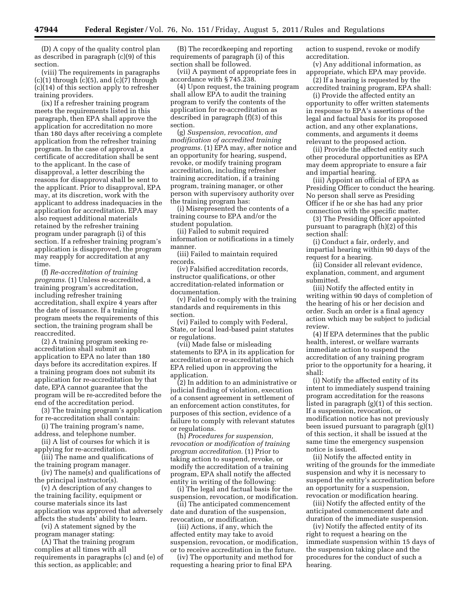(D) A copy of the quality control plan as described in paragraph (c)(9) of this section.

(viii) The requirements in paragraphs  $(c)(1)$  through  $(c)(5)$ , and  $(c)(7)$  through (c)(14) of this section apply to refresher training providers.

(ix) If a refresher training program meets the requirements listed in this paragraph, then EPA shall approve the application for accreditation no more than 180 days after receiving a complete application from the refresher training program. In the case of approval, a certificate of accreditation shall be sent to the applicant. In the case of disapproval, a letter describing the reasons for disapproval shall be sent to the applicant. Prior to disapproval, EPA may, at its discretion, work with the applicant to address inadequacies in the application for accreditation. EPA may also request additional materials retained by the refresher training program under paragraph (i) of this section. If a refresher training program's application is disapproved, the program may reapply for accreditation at any time.

(f) *Re-accreditation of training programs.* (1) Unless re-accredited, a training program's accreditation, including refresher training accreditation, shall expire 4 years after the date of issuance. If a training program meets the requirements of this section, the training program shall be reaccredited.

(2) A training program seeking reaccreditation shall submit an application to EPA no later than 180 days before its accreditation expires. If a training program does not submit its application for re-accreditation by that date, EPA cannot guarantee that the program will be re-accredited before the end of the accreditation period.

(3) The training program's application for re-accreditation shall contain:

(i) The training program's name, address, and telephone number.

(ii) A list of courses for which it is applying for re-accreditation.

(iii) The name and qualifications of the training program manager.

(iv) The name(s) and qualifications of the principal instructor(s).

(v) A description of any changes to the training facility, equipment or course materials since its last application was approved that adversely affects the students' ability to learn.

(vi) A statement signed by the program manager stating:

(A) That the training program complies at all times with all requirements in paragraphs (c) and (e) of this section, as applicable; and

(B) The recordkeeping and reporting requirements of paragraph (i) of this section shall be followed.

(vii) A payment of appropriate fees in accordance with § 745.238.

(4) Upon request, the training program shall allow EPA to audit the training program to verify the contents of the application for re-accreditation as described in paragraph (f)(3) of this section.

(g) *Suspension, revocation, and modification of accredited training programs.* (1) EPA may, after notice and an opportunity for hearing, suspend, revoke, or modify training program accreditation, including refresher training accreditation, if a training program, training manager, or other person with supervisory authority over the training program has:

(i) Misrepresented the contents of a training course to EPA and/or the student population.

(ii) Failed to submit required information or notifications in a timely manner.

(iii) Failed to maintain required records.

(iv) Falsified accreditation records, instructor qualifications, or other accreditation-related information or documentation.

(v) Failed to comply with the training standards and requirements in this section.

(vi) Failed to comply with Federal, State, or local lead-based paint statutes or regulations.

(vii) Made false or misleading statements to EPA in its application for accreditation or re-accreditation which EPA relied upon in approving the application.

(2) In addition to an administrative or judicial finding of violation, execution of a consent agreement in settlement of an enforcement action constitutes, for purposes of this section, evidence of a failure to comply with relevant statutes or regulations.

(h) *Procedures for suspension, revocation or modification of training program accreditation.* (1) Prior to taking action to suspend, revoke, or modify the accreditation of a training program, EPA shall notify the affected entity in writing of the following:

(i) The legal and factual basis for the suspension, revocation, or modification.

(ii) The anticipated commencement date and duration of the suspension, revocation, or modification.

(iii) Actions, if any, which the affected entity may take to avoid suspension, revocation, or modification, or to receive accreditation in the future.

(iv) The opportunity and method for requesting a hearing prior to final EPA

action to suspend, revoke or modify accreditation.

(v) Any additional information, as appropriate, which EPA may provide.

(2) If a hearing is requested by the accredited training program, EPA shall:

(i) Provide the affected entity an opportunity to offer written statements in response to EPA's assertions of the legal and factual basis for its proposed action, and any other explanations, comments, and arguments it deems relevant to the proposed action.

(ii) Provide the affected entity such other procedural opportunities as EPA may deem appropriate to ensure a fair and impartial hearing.

(iii) Appoint an official of EPA as Presiding Officer to conduct the hearing. No person shall serve as Presiding Officer if he or she has had any prior connection with the specific matter.

(3) The Presiding Officer appointed pursuant to paragraph (h)(2) of this section shall:

(i) Conduct a fair, orderly, and impartial hearing within 90 days of the request for a hearing.

(ii) Consider all relevant evidence, explanation, comment, and argument submitted.

(iii) Notify the affected entity in writing within 90 days of completion of the hearing of his or her decision and order. Such an order is a final agency action which may be subject to judicial review.

(4) If EPA determines that the public health, interest, or welfare warrants immediate action to suspend the accreditation of any training program prior to the opportunity for a hearing, it shall:

(i) Notify the affected entity of its intent to immediately suspend training program accreditation for the reasons listed in paragraph (g)(1) of this section. If a suspension, revocation, or modification notice has not previously been issued pursuant to paragraph (g)(1) of this section, it shall be issued at the same time the emergency suspension notice is issued.

(ii) Notify the affected entity in writing of the grounds for the immediate suspension and why it is necessary to suspend the entity's accreditation before an opportunity for a suspension, revocation or modification hearing.

(iii) Notify the affected entity of the anticipated commencement date and duration of the immediate suspension.

(iv) Notify the affected entity of its right to request a hearing on the immediate suspension within 15 days of the suspension taking place and the procedures for the conduct of such a hearing.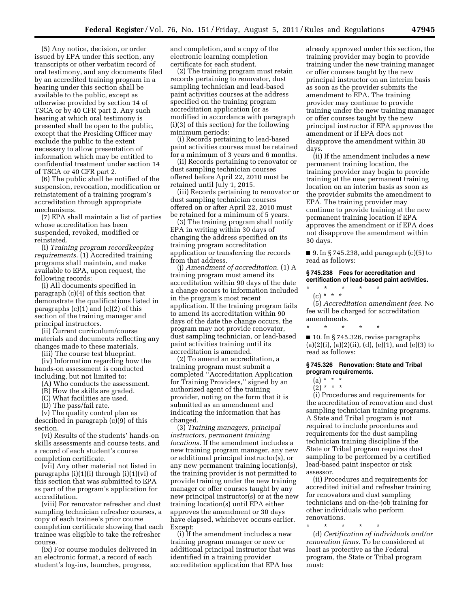(5) Any notice, decision, or order issued by EPA under this section, any transcripts or other verbatim record of oral testimony, and any documents filed by an accredited training program in a hearing under this section shall be available to the public, except as otherwise provided by section 14 of TSCA or by 40 CFR part 2. Any such hearing at which oral testimony is presented shall be open to the public, except that the Presiding Officer may exclude the public to the extent necessary to allow presentation of information which may be entitled to confidential treatment under section 14 of TSCA or 40 CFR part 2.

(6) The public shall be notified of the suspension, revocation, modification or reinstatement of a training program's accreditation through appropriate mechanisms.

(7) EPA shall maintain a list of parties whose accreditation has been suspended, revoked, modified or reinstated.

(i) *Training program recordkeeping requirements.* (1) Accredited training programs shall maintain, and make available to EPA, upon request, the following records:

(i) All documents specified in paragraph (c)(4) of this section that demonstrate the qualifications listed in paragraphs (c)(1) and (c)(2) of this section of the training manager and principal instructors.

(ii) Current curriculum/course materials and documents reflecting any changes made to these materials.

(iii) The course test blueprint.

(iv) Information regarding how the hands-on assessment is conducted including, but not limited to:

(A) Who conducts the assessment.

(B) How the skills are graded.

(C) What facilities are used.

(D) The pass/fail rate.

(v) The quality control plan as described in paragraph (c)(9) of this section.

(vi) Results of the students' hands-on skills assessments and course tests, and a record of each student's course completion certificate.

(vii) Any other material not listed in paragraphs (i)(1)(i) through (i)(1)(vi) of this section that was submitted to EPA as part of the program's application for accreditation.

(viii) For renovator refresher and dust sampling technician refresher courses, a copy of each trainee's prior course completion certificate showing that each trainee was eligible to take the refresher course.

(ix) For course modules delivered in an electronic format, a record of each student's log-ins, launches, progress,

and completion, and a copy of the electronic learning completion certificate for each student.

(2) The training program must retain records pertaining to renovator, dust sampling technician and lead-based paint activities courses at the address specified on the training program accreditation application (or as modified in accordance with paragraph (i)(3) of this section) for the following minimum periods:

(i) Records pertaining to lead-based paint activities courses must be retained for a minimum of 3 years and 6 months.

(ii) Records pertaining to renovator or dust sampling technician courses offered before April 22, 2010 must be retained until July 1, 2015.

(iii) Records pertaining to renovator or dust sampling technician courses offered on or after April 22, 2010 must be retained for a minimum of 5 years.

(3) The training program shall notify EPA in writing within 30 days of changing the address specified on its training program accreditation application or transferring the records from that address.

(j) *Amendment of accreditation.* (1) A training program must amend its accreditation within 90 days of the date a change occurs to information included in the program's most recent application. If the training program fails to amend its accreditation within 90 days of the date the change occurs, the program may not provide renovator, dust sampling technician, or lead-based paint activities training until its accreditation is amended.

(2) To amend an accreditation, a training program must submit a completed ''Accreditation Application for Training Providers,'' signed by an authorized agent of the training provider, noting on the form that it is submitted as an amendment and indicating the information that has changed.

(3) *Training managers, principal instructors, permanent training locations.* If the amendment includes a new training program manager, any new or additional principal instructor(s), or any new permanent training location(s), the training provider is not permitted to provide training under the new training manager or offer courses taught by any new principal instructor(s) or at the new training location(s) until EPA either approves the amendment or 30 days have elapsed, whichever occurs earlier. Except:

(i) If the amendment includes a new training program manager or new or additional principal instructor that was identified in a training provider accreditation application that EPA has

already approved under this section, the training provider may begin to provide training under the new training manager or offer courses taught by the new principal instructor on an interim basis as soon as the provider submits the amendment to EPA. The training provider may continue to provide training under the new training manager or offer courses taught by the new principal instructor if EPA approves the amendment or if EPA does not disapprove the amendment within 30 days.

(ii) If the amendment includes a new permanent training location, the training provider may begin to provide training at the new permanent training location on an interim basis as soon as the provider submits the amendment to EPA. The training provider may continue to provide training at the new permanent training location if EPA approves the amendment or if EPA does not disapprove the amendment within 30 days.

■ 9. In § 745.238, add paragraph  $(c)(5)$  to read as follows:

#### **§ 745.238 Fees for accreditation and certification of lead-based paint activities.**

\* \* \* \* \*  $(c) * * * *$ 

(5) *Accreditation amendment fees.* No fee will be charged for accreditation amendments.

\* \* \* \* \* ■ 10. In § 745.326, revise paragraphs (a)(2)(i), (a)(2)(ii), (d), (e)(1), and (e)(3) to read as follows:

#### **§ 745.326 Renovation: State and Tribal program requirements.**

- $(a) * * * *$
- $(2) * * * *$

(i) Procedures and requirements for the accreditation of renovation and dust sampling technician training programs. A State and Tribal program is not required to include procedures and requirements for the dust sampling technician training discipline if the State or Tribal program requires dust sampling to be performed by a certified lead-based paint inspector or risk assessor.

(ii) Procedures and requirements for accredited initial and refresher training for renovators and dust sampling technicians and on-the-job training for other individuals who perform renovations.

\* \* \* \* \* (d) *Certification of individuals and/or renovation firms.* To be considered at least as protective as the Federal program, the State or Tribal program must: